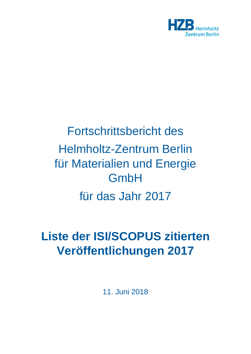

## Fortschrittsbericht des Helmholtz-Zentrum Berlin für Materialien und Energie GmbH für das Jahr 2017

## **Liste der ISI/SCOPUS zitierten Veröffentlichungen 2017**

11. Juni 2018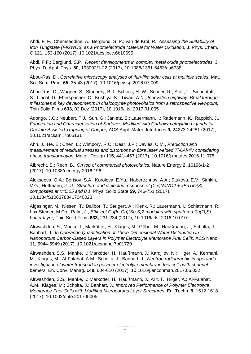Abdi, F. F.; Chemseddine, A.; Berglund, S. P.; van de Krol, R., *Assessing the Suitability of Iron Tungstate (Fe2WO6) as a Photoelectrode Material for Water Oxidation, J. Phys. Chem.* C **121,** 153-160 (2017), 10.1021/acs.jpcc.6b10695

Abdi, F.F.; Berglund, S.P., *Recent developments in complex metal oxide photoelectrodes,* J. Phys. D. Appl. Phys. **50,** 193002/1-22 (2017), 10.1088/1361-6463/aa6738

Abou-Ras, D., *Correlative microscopy analyses of thin-film solar cells at multiple scales,* Mat. Sci. Sem. Proc. **65,** 35-43 (2017), 10.1016/j.mssp.2016.07.009

Abou-Ras, D.; Wagner, S.; Stanbery, B.J.; Schock, H.-W.; Scheer, R.; Stolt, L.; Siebentritt, S.; Lincot, D.; Eberspacher, C.; Kushiya, K.; Tiwari, A.N., *Innovation highway: Breakthrough milestones & key developments in chalcopyrite photovoltaics from a retrospective viewpoint,*  Thin Solid Films **633,** 02.Dez (2017), 10.1016/j.tsf.2017.01.005

Adongo, J.O.; Neubert, T.J.; Sun, G.; Janietz, S.; Lauermann, I.; Rademann, K.; Rappich, J., *Fabrication and Characterization of Surfaces Modified with Carboxymethylthio Ligands for Chelate-Assisted Trapping of Copper,* ACS Appl. Mater. Interfaces **9,** 24273-24281 (2017), 10.1021/acsami.7b05131

Ahn, J.; He, E.; Chen, L.; Wimpory, R.C.; Dear, J.P.; Davies, C.M., *Prediction and measurement of residual stresses and distortions in fibre laser welded Ti-6Al-4V considering phase transformation,* Mater. Design **115,** 441–457 (2017), 10.1016/j.matdes.2016.11.078

Albrecht, S.; Rech, B., *On top of commercial photovoltaics,* Nature Energy **2,** 16196/1-2 (2017), 10.1038/nenergy.2016.196

Alekseeva, O.A.; Borisov, S.A.; Koroleva, E.Yu.; Naberezhnov, A.A.; Stukova, E.V.; Simkin, V.G.; Hoffmann, J.-U., *Structure and dielectric response of (1-x)NaNO2 + xBaTiO(3) composites at x=0.05 and 0.1,* Phys. Solid State **59,** 746-751 (2017), 10.1134/S1063783417040023

Algasinger, M.; Niesen, T.; Dalibor, T.; Steigert, A.; Klenk, R.; Lauermann, I.; Schlatmann, R.; Lux-Steiner, M.Ch.; Palm, J., *Efficient Cu(In,Ga)(Se,S)2 modules with sputtered Zn(O,S) buffer layer,* Thin Solid Films **633,** 231-234 (2017), 10.1016/j.tsf.2016.10.010

Alrwashdeh, S.; Manke, I.; Markötter, H.; Klages, M.; Göbel, M.; Haußmann, J.; Scholta, J.; Banhart, J., *In Operando Quantification of Three-Dimensional Water Distribution in Nanoporous Carbon-Based Layers in Polymer Electrolyte Membrane Fuel Cells,* ACS Nano **11,** 5944-5949 (2017), 10.1021/acsnano.7b01720

Alrwashdeh, S.S.; Manke, I.; Markötter, H.; Haußmann, J.; Kardjilov, N.; Hilger, A.; Kermani, M.; Klages, M.; Al-Falahat, A.M.; Scholta, J.; Banhart, J., *Neutron radiographic in operando investigation of water transport in polymer electrolyte membrane fuel cells with channel barriers,* En. Conv. Manag. **148,** 604-610 (2017), 10.1016/j.enconman.2017.06.032

Alrwashdeh, S.S.; Manke, I.; Markötter, H.; Haußmann, J.; Arlt, T.; Hilger, A.; Al-Falahat, A.M.; Klages, M.; Scholta, J.; Banhart, J., *Improved Performance of Polymer Electrolyte Membrane Fuel Cells with Modified Microporous Layer Structures,* En. Techn. **5,** 1612-1618 (2017), 10.1002/ente.201700005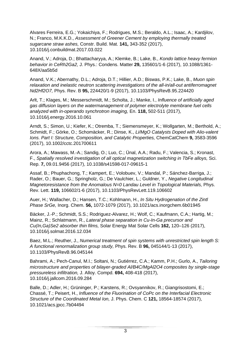Alvares Ferreira, E.G.; Yokaichiya, F.; Rodrigues, M.S.; Beraldo, A.L.; Isaac, A.; Kardjilov, N.; Franco, M.K.K.D., *Assessment of Greener Cement by employing thermally treated sugarcane straw ashes,* Constr. Build. Mat. **141,** 343-352 (2017), 10.1016/j.conbuildmat.2017.03.022

Anand, V.; Adroja, D.; Bhattacharyya, A.; Klemke, B.; Lake, B., *Kondo lattice heavy fermion behavior in CeRh2Ga2,* J. Phys.: Condens. Matter **29,** 135601/1-6 (2017), 10.1088/1361- 648X/aa5b5d

Anand, V.K.; Abernathy, D.L.; Adroja, D.T.; Hillier, A.D.; Biswas, P.K.; Lake, B., *Muon spin relaxation and inelastic neutron scattering investigations of the all-in/all-out antiferromagnet Nd2Hf2O7,* Phys. Rev. B **95,** 224420/1-9 (2017), 10.1103/PhysRevB.95.224420

Arlt, T.; Klages, M.; Messerschmidt, M.; Scholta, J.; Manke, I., *Influence of artificially aged gas diffusion layers on the watermanagement of polymer electrolyte membrane fuel cells analyzed with in-operando synchrotron imaging,* En. **118,** 502-511 (2017), 10.1016/j.energy.2016.10.061

Arndt, S.; Simon, U.; Kiefer, K.; Otremba, T.; Siemensmeyer, K.; Wollgarten, M.; Berthold, A.; Schmidt, F.; Görke, O.; Schomäcker, R.; Dinse, K., *Li/MgO Catalysts Doped with Alio-valent Ions. Part I: Structure, Composition, and Catalytic Properties,* ChemCatChem **9,** 3583-3596 (2017), 10.1002/cctc.201700611

Arora, A.; Mawass, M.-A.; Sandig, O.; Luo, C.; Ünal, A.A.; Radu, F.; Valencia, S.; Kronast, F., *Spatially resolved investigation of all optical magnetization switching in TbFe alloys,* Sci. Rep. **7,** 09.01.9456 (2017), 10.1038/s41598-017-09615-1

Assaf, B.; Phuphachong, T.; Kampert, E.; Volobuev, V.; Mandal, P.; Sánchez-Barriga, J.; Rader, O.; Bauer, G.; Springholz, G.; De Vaulchier, L.; Guldner, Y., *Negative Longitudinal Magnetoresistance from the Anomalous N=0 Landau Level in Topological Materials, Phys.* Rev. Lett. **119,** 106602/1-6 (2017), 10.1103/PhysRevLett.119.106602

Auer, H.; Wallacher, D.; Hansen, T.C.; Kohlmann, H., *In Situ Hydrogenation of the Zintl Phase SrGe,* Inorg. Chem. **56,** 1072-1079 (2017), 10.1021/acs.inorgchem.6b01945

Bäcker, J.-P.; Schmidt, S.S.; Rodriguez-Alvarez, H.; Wolf, C.; Kaufmann, C.A.; Hartig, M.; Mainz, R.; Schlatmann, R., *Lateral phase separation in Cu-In-Ga precursor and Cu(In,Ga)Se2 absorber thin films,* Solar Energy Mat Solar Cells **162,** 120–126 (2017), 10.1016/j.solmat.2016.12.034

Baez, M.L.; Reuther, J., *Numerical treatment of spin systems with unrestricted spin length S: A functional renormalization group study,* Phys. Rev. B **96,** 045144/1-13 (2017), 10.1103/PhysRevB.96.045144

Bahrami, A.; Pech-Canul, M.I.; Soltani, N.; Gutiérrez, C.A.; Kamm, P.H.; Gurlo, A., *Tailoring microstructure and properties of bilayer-graded Al/B4C/MgAl2O4 composites by single-stage pressureless infiltration,* J. Alloy. Compd. **694,** 408-418 (2017), 10.1016/j.jallcom.2016.09.284

Balle, D.; Adler, H.; Grüninger, P.; Karstens, R.; Ovsyannikov, R.; Giangrisostomi, E.; Chassé, T.; Peisert, H., *Influence of the Fluorination of CoPc on the Interfacial Electronic Structure of the Coordinated Metal Ion,* J. Phys. Chem. C **121,** 18564-18574 (2017), 10.1021/acs.jpcc.7b04494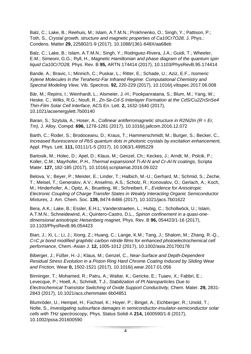Balz, C.; Lake, B.; Reehuis, M.; Islam, A.T.M.N.; Prokhnenko, O.; Singh, Y.; Pattison, P.; Toth, S., *Crystal growth, structure and magnetic properties of Ca10Cr7O28,* J. Phys.: Condens. Matter **29,** 225802/1-9 (2017), 10.1088/1361-648X/aa68eb

Balz, C.; Lake, B.; Islam, A.T.M.N.; Singh, Y.; Rodriguez-Rivera, J.A.; Guidi, T.; Wheeler, E.M.; Simeoni, G.G.; Ryll, H., *Magnetic Hamiltonian and phase diagram of the quantum spin liquid Ca10Cr7O28,* Phys. Rev. B **95,** ARTN 174414 (2017), 10.1103/PhysRevB.95.174414

Bande, A.; Bravic, I.; Minnich, C.; Puskar, L.; Ritter, E.; Schade, U.; Aziz, E.F., *Isomeric Xylene Molecules in the Terahertz-Far Infrared Regime: Computational Chemistry and Spectral Modeling View,* Vib. Spectros. **92,** 220-229 (2017), 10.1016/j.vibspec.2017.06.008

Bär, M.; Repins, I.; Weinhardt, L.; Alsmeier, J.-H.; Pookpanratana, S.; Blum, M.; Yang, W.; Heske, C.; Wilks, R.G.; Noufi, R., *Zn-Se-Cd-S Interlayer Formation at the CdS/Cu2ZnSnSe4 Thin-Film Solar Cell Interface,* ACS En. Lett. **2,** 1632-1640 (2017), 10.1021/acsenergylett.7b00140

Baran, S.; Szytula, A.; Hoser, A., *Collinear antiferromagnetic structure in R2Ni2In (R = Er, Tm),* J. Alloy. Compd. **696,** 1278-1281 (2017), 10.1016/j.jallcom.2016.12.072

Barth, C.; Roder, S.; Brodoceanu, D.; Kraus, T.; Hammerschmidt, M.; Burger, S.; Becker, C., *Increased fluorescence of PbS quantum dots in photonic crystals by excitation enhancement,*  Appl. Phys. Lett. **111,** 03111/1-5 (2017), 10.1063/1.4995229

Bartosik, M.; Holec, D.; Apel, D.; Klaus, M.; Genzel, Ch.; Keckes, J.; Arndt, M.; Polcik, P.; Koller, C.M.; Mayrhofer, P.H., *Thermal expansionof Ti-Al-N and Cr-Al-N coatings,* Scripta Mater. **127,** 182-185 (2017), 10.1016/j.scriptamat.2016.09.022

Belova, V.; Beyer, P.; Meister, E.; Linder, T.; Halbich, M.-U.; Gerhard, M.; Schmid, S.; Zeche, T.; Meisel, T.; Generalov, A.V.; Anselmo, A.S.; Scholz, R.; Konovalov, O.; Gerlach, A.; Koch, M.; Hinderhofer, A.; Opitz, A.; Bruetting, W.; Schreibert, F., *Evidence for Anisotropic Electronic Coupling of Charge Transfer States in Weakly Interacting Organic Semiconductor Mixtures,* J. Am. Chem. Soc. **139,** 8474-8486 (2017), 10.1021/jacs.7b01622

Bera, A.K.; Lake, B.; Essler, E.H.L; Vanderstraeten, L.; Hubig, C.; Schollwöck, U.; Islam, A.T.M.N.; Schneidewind, A.; Quintero-Castro, D.L., *Spinon confinement in a quasi-onedimensional anisotropic Heisenberg magnet,* Phys. Rev. B **96,** 054423/1-16 (2017), 10.1103/PhysRevB.96.054423

Bian, J.; Xi, L.; Li, J.; Xiong, Z.; Huang, C.; Lange, K.M.; Tang, J.; Shalom, M.; Zhang, R.-Q., *C=C pi bond modified graphitic carbon nitride films for enhanced photoelectrochemical cell performance,* Chem.-Asian J. **12,** 1005-1012 (2017), 10.1002/asia.201700178

Biberger, J.; Füßer, H.-J.; Klaus, M.; Genzel, C., *Near-Surface and Depth-Dependent Residual Stress Evolution in a Piston Ring Hard Chrome Coating Induced by Sliding Wear and Friction,* Wear **0,** 1502-1521 (2017), 10.1016/j.wear.2017.01.056

Binninger, T.; Mohamed, R.; Patru, A.; Waltar, K.; Gericke, E.; Tuaev, X.; Fabbri, E.; Levecque, P.; Hoell, A.; Schmidt, T.J., *Stabilization of Pt Nanoparticles Due to Electrochemical Transistor Switching of Oxide Support Conductivity,* Chem. Mater. **29,** 2831- 2843 (2017), 10.1021/acs.chemmater.6b04851

Blumröder, U.; Hempel, H.; Füchsel, K.; Hoyer, P.; Bingel, A.; Eichberger, R.; Unold, T.; Nolte, S., *Investigating subsurface damages in semiconductor-insulator-semiconductor solar cells with THz spectroscopy,* Phys. Status Solidi A **214,** 1600590/1-8 (2017), 10.1002/pssa.201600590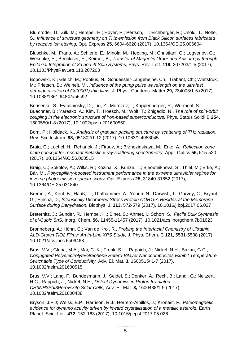Blumröder, U.; Zilk, M.; Hempel, H.; Hoyer, P.; Pertsch, T.; Eichberger, R.; Unold, T.; Nolte, S., *Influence of structure geometry on THz emission from Black Silicon surfaces fabricated by reactive ion etching,* Opt. Express **25,** 6604-6620 (2017), 10.1364/OE.25.006604

Bluschke, M.; Frano, A.; Schierle, E.; Minola, M.; Hepting, M.; Christiani, G.; Logvenov, G.; Weschke, E.; Benckiser, E.; Keimer, B., *Transfer of Magnetic Order and Anisotropy through Epitaxial Integration of 3d and 4f Spin Systems,* Phys. Rev. Lett. **118,** 207203/1-5 (2017), 10.1103/PhysRevLett.118.207203

Bobowski, K.; Gleich, M.; Pontius, N.; Schuessler-Langeheine, Ch.; Trabant, Ch.; Wietstruk, M.; Frietsch, B.; Weinelt, M., *Influence of the pump pulse wavelength on the ultrafast demagnetization of Gd(0001) thin films,* J. Phys.: Condens. Matter **29,** 234003/1-5 (2017), 10.1088/1361-648X/aa6c92

Borisenko, S.; Evtushinsky, D.; Liu, Z.; Morozov, I.; Kappenberger, R.; Wurmehl, S.; Buechner, B.; Yaresko, A.; Kim, T.; Hoesch, M.; Wolf, T.; Zhigadlo, N., *The role of spin-orbit coupling in the electronic structure of iron-based superconductors,* Phys. Status Solidi B **254,**  1600550/1-8 (2017), 10.1002/pssb.201600550

Born, P.; Holldack, K., *Analysis of granular packing structure by scattering of THz radiation,*  Rev. Sci. Instrum. **88,** 051802/1-12 (2017), 10.1063/1.4983045

Braig, C.; Löchel, H.; Rehanek, J.; Firsov, A.; Brzhezinskaya, M.; Erko, A., *Reflection zone plate concept for resonant inelastic x-ray scattering spectrometry,* Appl. Optics **56,** 515-520 (2017), 10.1364/AO.56.000515

Braig, C.; Sokolov, A.; Wilks, R.; Kozina, X.; Kunze, T.; Bjeoumikhova, S.; Thiel, M.; Erko, A.; Bär, M., *Polycapillary-boosted instrument performance in the extreme ultraviolet regime for inverse photoemission spectroscopy,* Opt. Express **25,** 31840-31852 (2017), 10.1364/OE.25.031840

Bremer, A.; Kent, B.; Hauß, T.; Thalhammer, A.; Yepuri, N.; Darwish, T.; Garvey, C.; Bryant, G.; Hincha, D., *Intrinsically Disordered Stress Protein COR15A Resides at the Membrane Surface during Dehydration,* Biophys. J. **113,** 572-579 (2017), 10.1016/j.bpj.2017.06.027

Breternitz, J.; Gunder, R.; Hempel, H.; Binet, S.; Ahmet, I.; Schorr, S., *Facile Bulk Synthesis of pi-Cubic SnS,* Inorg. Chem. **56,** 11455-11457 (2017), 10.1021/acs.inorgchem.7b01623

Bronneberg, A.; Höhn, C.; Van de Krol, R., *Probing the Interfacial Chemistry of Ultrathin ALD-Grown TiO2 Films: An In-Line XPS Study,* J. Phys. Chem. C **121,** 5531-5538 (2017), 10.1021/acs.jpcc.6b09468

Brus, V.V.; Gluba, M.A.; Mai, C.-K.; Fronk, S.L.; Rappich, J.; Nickel, N.H.; Bazan, G.C., *Conjugated Polyelectrolyte/Graphene Hetero-Bilayer Nanocomposites Exhibit Temperature Switchable Type of Conductivity,* Adv. El. Mat. **3,** 1600515/ 1-7 (2017), 10.1002/aelm.201600515

Brus, V.V.; Lang, F.; Bundesmann, J.; Seidel, S.; Denker, A.; Rech, B.; Landi, G.; Neitzert, H.C.; Rappich, J.; Nickel, N.H., *Defect Dynamics in Proton Irradiated CH3NH3PbI3Perovskite Solar Cells,* Adv. El. Mat. **3,** 1600438/1-9 (2017), 10.1002/aelm.201600438

Bryson, J.F.J; Weiss, B.P.; Harrison, R.J.; Herrero-Albillos, J.; Kronast, F., *Paleomagnetic*  evidence for dynamo activity driven by inward crystallisation of a metallic asteroid, Earth Planet. Scie. Lett. **472,** 152-163 (2017), 10.1016/j.epsl.2017.05.026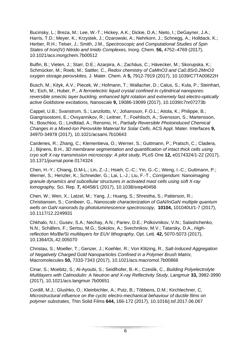Bucinsky, L.; Breza, M.; Lee, W.-T.; Hickey, A.K.; Dickie, D.A.; Nieto, I.; DeGayner, J.A.; Harris, T.D.; Meyer, K.; Krzystek, J.; Ozarowski, A.; Nehrkorn, J.; Schnegg, A.; Holldack, K.; Herber, R.H.; Telser, J.; Smith, J.M., *Spectroscopic and Computational Studies of Spin States of Iron(IV) Nitrido and Imido Complexes,* Inorg. Chem. **56,** 4752–4769 (2017), 10.1021/acs.inorgchem.7b00512

Bulfin, B.; Vieten, J.; Starr, D.E.; Azarpira, A.; Zachäus, C.; Hävecker, M.; Skorupska, K.; Schmücker, M.; Roeb, M.; Sattler, C., *Redox chemistry of CaMnO3 and Ca0.8Sr0.2MnO3 oxygen storage perovskites,* J. Mater. Chem. A **5,** 7912-7919 (2017), 10.1039/C7TA00822H

Busch, M.; Kityk, A.V.; Piecek, W.; Hofmann, T.; Wallacher, D.; Calus, S.; Kula, P.; Steinhart, M.; Eich, M.; Huber, P., *A ferroelectric liquid crystal confined in cylindrical nanopores: reversible smectic layer buckling, enhanced light rotation and extremely fast electro-optically active Goldstone excitations,* Nanoscale **9,** 19086-19099 (2017), 10.1039/c7nr07273b

Cappel, U.B.; Svanstrom, S.; Lanzilotto, V.; Johansson, F.O.L.; Aitola, K.; Philippe, B.; Giangrisostomi, E.; Ovsyannikov, R.; Leitner, T.; Foehlisch, A.; Svensson, S.; Martensson, N.; Boschloo, G.; Lindblad, A.; Rensmo, H., *Partially Reversible Photoinduced Chemical Changes in a Mixed-Ion Perovskite Material for Solar Cells,* ACS Appl. Mater. Interfaces **9,**  34970-34978 (2017), 10.1021/acsami.7b10643

Cardenes, R.; Zhang, C.; Klementieva, O.; Werner, S.; Guttmann, P.; Pratsch, C.; Cladera, J.; Bijnens, B.H., *3D membrane segmentation and quantification of intact thick cells using cryo soft X-ray transmission microscopy: A pilot study,* PLoS One **12,** e0174324/1-22 (2017), 10.1371/journal.pone.0174324

Chen, H.-Y.; Chiang, D.M-L.; Lin, Z.-J.; Hsieh, C.-C.; Yin, G.-C.; Weng, I.-C.; Guttmann, P.; Werner, S.; Henzler, K.; Schneider, G.; Lai, L.-J.; Liu, F.-T., *Corrigendum: Nanoimaging granule dynamics and subcellular structures in activated mast cells using soft X-ray tomography,* Sci. Rep. **7,** 40458/1 (2017), 10.1038/srep40458

Chen, W.; Wen, X.; Latzel, M.; Yang, J.; Huang, S.; Shrestha, S.; Patterson, R.; Christiansen, S.; Conibeer, G., *Nanoscale characterization of GaN/InGaN multiple quantum wells on GaN nanorods by photoluminescence spectroscopy,* **10104,** 101040U/1-7 (2017), 10.1117/12.2249931

Chkhalo, N.I.; Gusev, S.A.; Nechay, A.N.; Pariev, D.E.; Polkovnikov, V.N.; Salashchenko, N.N.; Schäfers, F.; Sertsu, M.G.; Sokolov, A.; Svechnikov, M.V.; Tatarsky, D.A., *Highreflection Mo/Be/Si multilayers for EUV lithography,* Opt. Lett. **42,** 5070-5073 (2017), 10.1364/OL.42.005070

Christau, S.; Moeller, T.; Genzer, J.; Koehler, R.; Von Klitzing, R., *Salt-Induced Aggregation of Negatively Charged Gold Nanoparticles Confined in a Polymer Brush Matrix,*  Macromolecules **50,** 7333-7343 (2017), 10.1021/acs.macromol.7b00866

Cinar, S.; Moebitz, S.; Al-Ayoubi, S.; Seidlhofer, B.-K.; Czeslik, C., *Building Polyelectrolyte Multilayers with Calmodulin: A Neutron and X-ray Reflectivity Study, Langmuir 33, 3982-3990* (2017), 10.1021/acs.langmuir.7b00651

Cordill, M.J.; Glushko, O.; Kleinbichler, A.; Putz, B.; Többens, D.M.; Kirchlechner, C, *Microstructural influence on the cyclic electro-mechanical behaviour of ductile films on polymer substrates,* Thin Solid Films **644,** 166-172 (2017), 10.1016/j.tsf.2017.06.067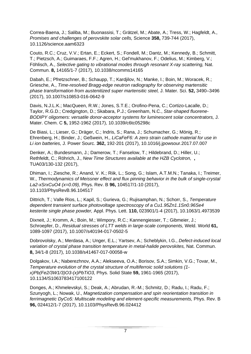Correa-Baena, J.; Saliba, M.; Buonassisi, T.; Grätzel, M.; Abate, A.; Tress, W.; Hagfeldt, A., *Promises and challenges of perovskite solar cells,* Science **358,** 739-744 (2017), 10.1126/science.aam6323

Couto, R.C.; Cruz, V.V.; Ertan, E.; Eckert, S.; Fondell, M.; Dantz, M.; Kennedy, B.; Schmitt, T.; Pietzsch, A.; Guimaraes, F.F.; Agren, H.; Gel'mukhanov, F.; Odelius, M.; Kimberg, V.; Föhlisch, A., *Selective gating to vibrational modes through resonant X-ray scattering,* Nat. Commun. **8,** 14165/1-7 (2017), 10.1038/ncomms14165

Dabah, E.; Pfretzschner, B.; Schaupp, T.; Kardjilov, N.; Manke, I.; Boin, M.; Woracek, R.; Griesche, A., *Time-resolved Bragg-edge neutron radiography for observing martensitic phase transformation from austenitized super martensitic steel,* J. Mater. Sci. **52,** 3490–3496 (2017), 10.1007/s10853-016-0642-9

Davis, N.J.L.K.; MacQueen, R.W.; Jones, S.T.E.; Orofino-Pena, C.; Cortizo-Lacalle, D.; Taylor, R.G.D.; Credgington, D.; Skabara, P.J.; Greenham, N.C., *Star-shaped fluorene-BODIPY oligomers: versatile donor-acceptor systems for luminescent solar concentrators,* J. Mater. Chem. C **5,** 1952-1962 (2017), 10.1039/c6tc05298c

De Biasi, L.; Lieser, G.; Dräger, C.; Indris, S.; Rana, J.; Schumacher, G.; Mönig, R.; Ehrenberg, H.; Binder, J.; Geßwein, H., *LiCaFeF6: A zero strain cathode material for use in Li ion batteries,* J. Power Sourc. **362,** 192-201 (2017), 10.1016/j.jpowsour.2017.07.007

Denker, A.; Bundesmann, J.; Damerow, T.; Fanselow, T.; Hildebrand, D.; Hiller, U.; Rethfeldt, C.; Röhrich, J., *New Time Structures available at the HZB Cyclotron,* **,**  TUA03/130-132 (2017),

Dhiman, I.; Ziesche, R.; Anand, V. K.; Riik, L.; Song, G.; Islam, A.T.M.N.; Tanaka, I.; Treimer, W., *Thermodynamics of Meissner effect and flux pinning behavior in the bulk of single-crystal La2-xSrxCuO4 (x=0.09),* Phys. Rev. B **96,** 104517/1-10 (2017), 10.1103/PhysRevB.96.104517

Dittrich, T.; Valle Rios, L.; Kapil, S.; Gurieva, G.; Rujisamphan, N.; Schorr, S., *Temperature dependent transient surface photovoltage spectroscopy of a Cu1.95Zn1.1Sn0.96Se4 kesterite single phase powder,* Appl. Phys. Lett. **110,** 023901/1-4 (2017), 10.1063/1.4973539

Dixneit, J.; Kromm, A.; Boin, M.; Wimpory, R.C.; Kannengiesser, T.; Gibmeier, J.; Schroepfer, D., *Residual stresses of LTT welds in large-scale components,* Weld. World **61,**  1089-1097 (2017), 10.1007/s40194-017-0502-5

Dobrovolsky, A.; Merdasa, A.; Unger, E.L.; Yartsev, A.; Scheblykin, I.G., *Defect-induced local variation of crystal phase transition temperature in metal-halide perovskites, Nat. Commun.* **8,** 34/1-8 (2017), 10.1038/s41467-017-00058-w

Dolgakov, I.A.; Naberezhnov, A.A.; Alekseeva, O.A.; Borisov, S.A.; Simkin, V.G.; Tovar, M., *Temperature evolution of the crystal structure of multiferroic solid solutions (1 x)Pb(Fe2/3W1/3)O3-(x)PbTiO3,* Phys. Solid State **59,** 1961-1965 (2017), 10.1134/S1063783417100122

Donges, A.; Khmelevskyi, S.; Deak, A.; Abrudan, R.-M.; Schmitz, D.; Radu, I.; Radu, F.; Szunyogh, L.; Nowak, U., *Magnetization compensation and spin reorientation transition in ferrimagnetic DyCo5: Multiscale modeling and element-specific measurements,* Phys. Rev. B **96,** 024412/1-7 (2017), 10.1103/PhysRevB.96.024412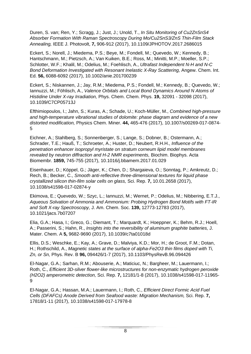Duren, S. van; Ren, Y.; Scragg, J.; Just, J.; Unold, T., *In Situ Monitoring of Cu2ZnSnS4 Absorber Formation With Raman Spectroscopy During Mo/Cu2SnS3/ZnS Thin-Film Stack Annealing,* IEEE J. Photovolt, **7,** 906-912 (2017), 10.1109/JPHOTOV.2017.2686015

Eckert, S.; Norell, J.; Miedema, P.S.; Beye, M.; Fondell, M.; Quevedo, W.; Kennedy, B.; Hantschmann, M.; Pietzsch, A.; Van Kuiken, B.E.; Ross, M.; Minitti, M.P.; Moeller, S.P.; Schlotter, W.F.; Khalil, M.; Odelius, M.; Foehlisch, A., *Ultrafast Independent N-H and N-C Bond Deformation Investigated with Resonant Inelastic X-Ray Scattering,* Angew. Chem. Int. Ed. **56,** 6088-6092 (2017), 10.1002/anie.201700239

Eckert, S.; Niskannen, J.; Jay, R.M.; Miedema, P.S.; Fondell, M.; Kennedy, B.; Quevedo, W.; Iannuzzi, M.; Föhlisch, A., *Valence Orbitals and Local Bond Dynamics Around N Atoms of Histidine Under X-ray Irradiation,* Phys. Chem. Chem. Phys. **19,** 32091 - 32098 (2017), 10.1039/C7CP05713J

Efthimiopoulos, I.; Jahn, S.; Kuras, A.; Schade, U.; Koch-Müller, M., *Combined high-pressure and high-temperature vibrational studies of dolomite: phase diagram and evidence of a new distorted modification,* Physics Chem. Miner. **44,** 465-476 (2017), 10.1007/s00269-017-0874- 5

Eichner, A.; Stahlberg, S.; Sonnenberger, S.; Lange, S.; Dobner, B.; Ostermann, A.; Schrader, T.E.; Hauß, T.; Schroeter, A.; Huster, D.; Neubert, R.H.H., *Influence of the penetration enhancer isopropyl myristate on stratum corneum lipid model membranes revealed by neutron diffraction and H-2 NMR experiments,* Biochim. Biophys. Acta Biomembr. **1859,** 745-755 (2017), 10.1016/j.bbamem.2017.01.029

Eisenhauer, D.; Köppel, G.; Jäger, K.; Chen, D.; Shargaieva, O.; Sonntag, P.; Amkreutz, D.; Rech, B.; Becker, C., *Smooth anti-reflective three-dimensional textures for liquid phase crystallized silicon thin-film solar cells on glass,* Sci. Rep. **7,** 10.01.2658 (2017), 10.1038/s41598-017-02874-y

Ekimova, E.; Quevedo, W.; Szyc, L.; Iannuzzi, M.; Wernet, P.; Odelius, M.; Nibbering, E.T.J., *Aqueous Solvation of Ammonia and Ammonium: Probing Hydrogen Bond Motifs with FT-IR and Soft X-ray Spectroscopy,* J. Am. Chem. Soc. **139,** 12773-12783 (2017), 10.1021/jacs.7b07207

Elia, G.A.; Hasa, I.; Greco, G.; Diemant, T.; Marquardt, K.; Hoeppner, K.; Behm, R.J.; Hoell, A.; Passerini, S.; Hahn, R., *Insights into the reversibility of aluminum graphite batteries,* J. Mater. Chem. A **5,** 9682-9690 (2017), 10.1039/c7ta01018d

Ellis, D.S.; Weschke, E.; Kay, A.; Grave, D.; Malviya, K.D.; Mor, H.; de Groot, F.M.; Dotan, H.; Rothschild, A., *Magnetic states at the surface of alpha-Fe2O3 thin films doped with Ti, Zn, or Sn,* Phys. Rev. B **96,** 094426/1-7 (2017), 10.1103/PhysRevB.96.094426

El-Nagar, G.A.; Sarhan, R.M.; Abouserie, A.; Maticiuc, N.; Bargheer, M.; Lauermann, I.; Roth, C., *Efficient 3D-silver flower-like microstructures for non-enzymatic hydrogen peroxide (H2O2) amperometric detection,* Sci. Rep. **7,** 12181/1-8 (2017), 10.1038/s41598-017-11965- 9

El-Nagar, G.A.; Hassan, M.A.; Lauermann, I.; Roth, C., *Efficient Direct Formic Acid Fuel Cells (DFAFCs) Anode Derived from Seafood waste: Migration Mechanism,* Sci. Rep. **7,**  17818/1-11 (2017), 10.1038/s41598-017-17978-8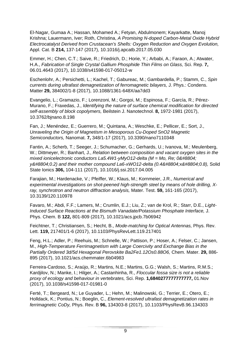El-Nagar, Gumaa A.; Hassan, Mohamed A.; Fetyan, Abdulmonem; Kayarkatte, Manoj Krishna; Lauermann, Iver; Roth, Christina, *A Promising N-doped Carbon-Metal Oxide Hybrid Electrocatalyst Derived from Crustacean's Shells: Oxygen Reduction and Oxygen Evolution,*  Appl. Cat. B **214,** 137-147 (2017), 10.1016/j.apcatb.2017.05.030

Emmer, H.; Chen, C.T.; Saive, R.; Friedrich, D.; Horie, Y.; Arbabi, A.; Faraon, A.; Atwater, H.A., *Fabrication of Single Crystal Gallium Phosphide Thin Films on Glass,* Sci. Rep. **7,**  06.01.4643 (2017), 10.1038/s41598-017-05012-w

Eschenlohr, A.; Persichetti, L.; Kachel, T.; Gabureac, M.; Gambardella, P.; Stamm, C., *Spin currents during ultrafast demagnetization of ferromagnetic bilayers,* J. Phys.: Condens. Matter **29,** 384002/1-8 (2017), 10.1088/1361-648X/aa7dd3

Evangelio, L.; Gramazio, F.; Lorenzoni, M.; Gorgoi, M.; Espinosa, F.; García, R.; Pérez-Murano, F.; Fraxedas, J., *Identifying the nature of surface chemical modification for directed self-assembly of block copolymers,* Beilstein J. Nanotechnol. **8,** 1972-1981 (2017), 10.3762/bjnano.8.198

Fan, J.; Menéndez, E.; Guerrero, M.; Quintana, A.; Weschke, E.; Pellicer, E.; Sort, J., *Unraveling the Origin of Magnetism in Mesoporous Cu-Doped SnO2 Magnetic Semiconductors,* Nanomat. **7,** 348/1-17 (2017), 10.3390/nano7110348

Fantin, A.; Scherb, T.; Seeger, J.; Schumacher, G.; Gerhards, U.; Ivanova, M.; Meulenberg, W.; Dittmeyer, R.; Banhart, J., *Relation between composition and vacant oxygen sites in the* mixed ionicelectronic conductors La5.4W1-yMyO12-delta (M = Mo, Re; 0≤ y≤0.2) and their mother compound La6-xWO12-delta (0.4≤x≤0.8), Solid State Ionics **306,** 104-111 (2017), 10.1016/j.ssi.2017.04.005

Farajian, M.; Hardenacke, V.; Pfeiffer, W.; Klaus, M.; Kornmeier, J.R., *Numerical and experimental investigations on shot-peened high-strength steel by means of hole drilling, Xray, synchrotron and neutron diffraction analysis,* Mater. Test. **59,** 161-165 (2017), 10.3139/120.110978

Favaro, M.; Abdi, F.F.; Lamers, M.; Crumlin, E.J.; Liu, Z.; van de Krol, R.; Starr, D.E., *Light-Induced Surface Reactions at the Bismuth Vanadate/Potassium Phosphate Interface,* J. Phys. Chem. B **122,** 801-809 (2017), 10.1021/acs.jpcb.7b06942

Feichtner, T.; Christiansen, S.; Hecht, B., *Mode-matching for Optical Antennas,* Phys. Rev. Lett. **119,** 217401/1-6 (2017), 10.1103/PhysRevLett.119.217401

Feng, H.L.; Adler, P.; Reehuis, M.; Schnelle, W.; Pattison, P.; Hoser, A.; Felser, C.; Jansen, M., *High-Temperature Ferrimagnetism with Large Coercivity and Exchange Bias in the Partially Ordered 3d/5d Hexagonal Perovskite Ba2Fe1.12Os0.88O6,* Chem. Mater. **29,** 886- 895 (2017), 10.1021/acs.chemmater.6b04983

Ferreira-Cardoso, S.; Araújo, R.; Martins, N.E.; Martins, G.G.; Walsh, S.; Martins, R.M.S.; Kardjilov, N.; Manke, I.; Hilger, A.; Castanhinha, R., *Floccular fossa size is not a reliable proxy of ecology and behaviour in vertebrates,* Sci. Rep. **1,6840277777777777,** 01.Nov (2017), 10.1038/s41598-017-01981-0

Ferté, T.; Bergeard, N.; Le Guyader, L.; Hehn, M.; Malinowski, G.; Terrier, E.; Otero, E.; Holldack, K.; Pontius, N.; Boeglin, C., *Element-resolved ultrafast demagnetization rates in ferrimagnetic CoDy,* Phys. Rev. B **96,** 134303-8 (2017), 10.1103/PhysRevB.96.134303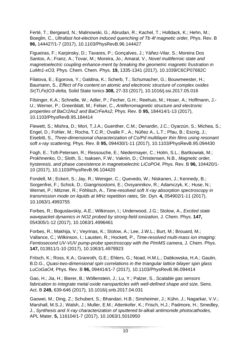Ferté, T.; Bergeard, N.; Malinowski, G.; Abrudan, R.; Kachel, T.; Holldack, K.; Hehn, M.; Boeglin, C., *Ultrafast hot-electron induced quenching of Tb 4f magnetic order*, Phys. Rev. B **96,** 144427/1-7 (2017), 10.1103/PhysRevB.96.144427

Figueiras, F.; Karpinsky, D.; Tavares, P.; Gonçalves, J.; Yáñez-Vilar, S.; Moreira Dos Santos, A.; Franz, A.; Tovar, M.; Moreira, Jo.; Amaral, V., *Novel multiferroic state and magnetoelectric coupling enhance-ment by breaking the geometric magnetic frustration in LuMn1-xO3,* Phys. Chem. Chem. Phys. **19,** 1335-1341 (2017), 10.1039/C6CP07682C

Filatova, E.; Egorova, Y.; Galdina, K.; Scherb, T.; Schumacher, G.; Bouwmeester, H.; Baumann, S., *Effect of Fe content on atomic and electronic structure of complex oxides Sr(Ti,Fe)O3-delta,* Solid State Ionics **308,** 27-33 (2017), 10.1016/j.ssi.2017.05.016

Filsinger, K.A.; Schnelle, W.; Adler, P.; Fecher, G.H.; Reehuis, M.; Hoser, A.; Hoffmann, J.- U.; Werner, P.; Greenblatt, M.; Felser, C., *Antiferromagnetic structure and electronic properties of BaCr2As2 and BaCrFeAs2,* Phys. Rev. B **95,** 184414/1-13 (2017), 10.1103/PhysRevB.95.184414

Flewett, S.; Mishra, D.; Mori, T.J.A.; Guenther, C.M.; Denardin, J.C.; Oyarzún, S.; Michea, S.; Engel, D.; Fohler, M.; Rocha, T.C.R.; Ovalle F., A.; Núñez A., L.T.; Pfau, B.; Escrig, J.; Eisebitt, S., *Three-dimensional characterization of Co/Pd multilayer thin films using resonant soft x-ray scattering,* Phys. Rev. B **95,** 094430/1-11 (2017), 10.1103/PhysRevB.95.094430

Fogh, E.; Toft-Petersen, R.; Ressouche, E.; Niedermayer, C.; Holm, S.L.; Bartkowiak, M.; Prokhnenko, O.; Sloth, S.; Isaksen, F.W.; Vaknin, D.; Christensen, N.B., *Magnetic order, hysteresis, and phase coexistence in magnetoelectric LiCoPO4,* Phys. Rev. B **96,** 104420/1- 10 (2017), 10.1103/PhysRevB.96.104420

Fondell, M.; Eckert, S.; Jay, R.; Weniger, C.; Quevedo, W.; Niskanen, J.; Kennedy, B.; Sorgenfrei, F.; Schick, D.; Giangrisostomi, E.; Ovsyannikov, R.; Adamczyk, K.; Huse, N.; Wernet, P.; Mitzner, R.; Föhlisch, A., *Time-resolved soft X-ray absorption spectroscopy in transmission mode on liquids at MHz repetition rates,* Str. Dyn. **4,** 054902/1-11 (2017), 10.1063/1.4993755

Forbes, R.; Boguslavskiy, A.E.; Wilkinson, I.; Underwood, J.G.; Stolow, A., *Excited state wavepacket dynamics in NO2 probed by strong-field ionization,* J. Chem. Phys. **147,**  054305/1-12 (2017), 10.1063/1.4996461

Forbes, R.; Makhija, V.; Veyrinas, K.; Stolow, A.; Lee, J.W.L.; Burt, M.; Brouard, M.; Vallance, C.; Wilkinson, I.; Lausten, R.; Hockett, P., *Time-resolved multi-mass ion imaging: Femtosecond UV-VUV pump-probe spectroscopy with the PImMS camera, J. Chem. Phys.* **147,** 013911/1-10 (2017), 10.1063/1.4978923

Fritsch, K.; Ross, K.A.; Granroth, G.E.; Ehlers, G.; Noad, H.M.L.; Dabkowska, H.A.; Gaulin, B.D.G., *Quasi-two-dimensional spin correlations in the triangular lattice bilayer spin glass LuCoGaO4,* Phys. Rev. B **96,** 094414/1-7 (2017), 10.1103/PhysRevB.96.094414

Gao, H.; Jia, H.; Bierer, B.; Wöllenstein, J.; Lu, Y.; Palzer, S., *Scalable gas sensors fabrication to integrate metal oxide nanoparticles with well-defined shape and size, Sens.* Act. B **249,** 639-646 (2017), 10.1016/j.snb.2017.04.031

Gaowei, M.; Ding, Z.; Schubert, S.; Bhandari, H.B.; Sinsheimer, J.; Kühn, J.; Nagarkar, V.V.; Marshall, M.S.J.; Walsh, J.; Muller, E.M.; Attenkofer, K.; Frisch, H.J.; Padmore, H.; Smedley, J., *Synthesis and X-ray characterization of sputtered bi-alkali antimonide photocathodes,*  APL Mater. **5,** 116104/1-7 (2017), 10.1063/1.5010950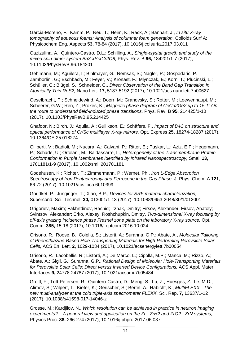Garcia-Moreno, F.; Kamm, P.; Neu, T.; Heim, K.; Rack, A.; Banhart, J., *In situ X-ray tomography of aqueous foams: Analysis of columnar foam generation,* Colloids Surf A: Physicochem Eng. Aspects **53,** 78-84 (2017), 10.1016/j.colsurfa.2017.03.011

Gazizulina, A.; Quintero-Castro, D.L.; Schilling, A., *Single-crystal growth and study of the mixed spin-dimer system Ba3-xSrxCr2O8,* Phys. Rev. B **96,** 184201/1-7 (2017), 10.1103/PhysRevB.96.184201

Gehlmann, M.; Aguilera, I.; Bihlmayer, G.; Nemsak, S.; Nagler, P.; Gospodaric, P.; Zamborlini, G.; Eschbach, M.; Feyer, V.; Kronast, F.; Mlynczak, E.; Korn, T.; Plucinski, L.; Schüller, C.; Blügel, S.; Schneider, C., *Direct Observation of the Band Gap Transition in Atomically Thin ReS2,* Nano Lett. **17,** 5187-5192 (2017), 10.1021/acs.nanolett.7b00627

Geselbracht, P.; Schneidewind, A.; Doerr, M.; Granovsky, S.; Rotter, M.; Loewenhaupt, M.; Scheerer, G.W.; Ren, Z.; Prokes, K., *Magnetic phase diagram of CeCu2Ge2 up to 15 T: On the route to understand field-induced phase transitions,* Phys. Rev. B **95,** 214425/1-10 (2017), 10.1103/PhysRevB.95.214425

Ghafoor, N.; Birch, J.; Aquila, A.; Gullikson, E.; Schäfers, F., *Impact of B4C on structure and optical performance of Cr/Sc multilayer X-ray mirrors,* Opt. Express **25,** 18274-18287 (2017), 10.1364/OE.25.018274

Giliberti, V.; Badioli, M.; Nucara, A.; Calvani, P.; Ritter, E.; Puskar, L.; Aziz, E.F.; Hegemann, P.; Schade, U.; Ortolani, M.; Baldassarre, L., *Heterogeneity of the Transmembrane Protein Conformation in Purple Membranes Identified by Infrared Nanospectroscopy,* Small **13,**  1701181/1-9 (2017), 10.1002/smll.201701181

Godehusen, K.; Richter, T.; Zimmermann, P.; Wernet, Ph., *Iron L-Edge Absorption Spectroscopy of Iron Pentacarbonyl and Ferrocene in the Gas Phase, J. Phys. Chem. A 121,* 66-72 (2017), 10.1021/acs.jpca.6b10399

Goudket, P.; Junginger, T.; Xiao, B.P., *Devices for SRF material characterization,*  Supercond. Sci. Technol. **30,** 013001/1-13 (2017), 10.1088/0953-2048/30/1/013001

Grigoriev, Maxim; Fakhrtdinov, Rashid; Irzhak, Dmitry; Firsov, Alexander; Firsov, Anatoly; Svintsov, Alexander; Erko, Alexey; Roshchupkin, Dmitry, *Two-dimensional X-ray focusing by off-axis grazing incidence phase Fresnel zone plate on the laboratory X-ray source,* Opt. Comm. **385,** 15-18 (2017), 10.1016/j.optcom.2016.10.024

Grisorio, R.; Roose, B.; Colella, S.; Listorti, A.; Suranna, G.P.; Abate, A., *Molecular Tailoring of Phenothiazine-Based Hole-Transporting Materials for High-Performing Perovskite Solar Cells,* ACS En. Lett. **2,** 1029-1034 (2017), 10.1021/acsenergylett.7b00054

Grisorio, R.; Lacobellis, R.; Listorti, A.; De Marco, L.; Cipolla, M.P.; Manca, M.; Rizzo, A.; Abate, A.; Gigli, G.; Suranna, G.P., *Rational Design of Molecular Hole-Transporting Materials*  for Perovskite Solar Cells: Direct versus Inverted Device Configurations, ACS Appl. Mater. Interfaces **9,** 24778-24787 (2017), 10.1021/acsami.7b05484

Groitl, F.; Toft-Petersen, R.; Quintero-Castro, D.; Meng, S.; Lu, Z.; Huesges, Z.; Le, M.D.; Alimov, S.; Wilpert, T.; Kiefer, K.; Gerischer, S.; Bertin, A.; Habicht, K., *MultiFLEXX - The new multi-analyzer at the cold triple-axis spectrometer FLEXX,* Sci. Rep. **7,** 13637/1-12 (2017), 10.1038/s41598-017-14046-z

Grosse, M.; Kardjilov, N., *Which resolution can be achieved in practice in neutron imaging experiments? – A general view and application on the Zr - ZrH2 and ZrO2 - ZrN systems,*  Physics Proc. **88,** 266-274 (2017), 10.1016/j.phpro.2017.06.037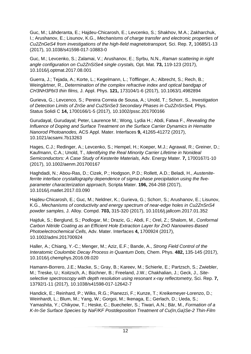Guc, M.; Lähderanta, E.; Hajdeu-Chicarosh, E.; Levcenko, S.; Shakhov, M.A.; Zakharchuk, I.; Arushanov, E.; Lisunov, K.G., *Mechanisms of charge transfer and electronic properties of Cu2ZnGeS4 from investigations of the high-field magnetotransport,* Sci. Rep. **7,** 10685/1-13 (2017), 10.1038/s41598-017-10883-0

Guc, M.; Levcenko, S.; Zalamai, V.; Arushanov, E.; Syrbu, N.N., *Raman scattering in right angle configuration on Cu2ZnSiSe4 single crystals,* Opt. Mat. **73,** 119-123 (2017), 10.1016/j.optmat.2017.08.001

Guerra, J.; Tejada, A.; Korte, L.; Kegelmann, L.; Töfflinger, A.; Albrecht, S.; Rech, B.; Weingärtner, R., *Determination of the complex refractive index and optical bandgap of CH3NH3PbI3 thin films,* J. Appl. Phys. **121,** 173104/1-6 (2017), 10.1063/1.4982894

Gurieva, G.; Levcenco, S.; Pereira Correia de Sousa, A.; Unold, T.; Schorr, S., *Investigation of Detection Limits of ZnSe and Cu2SnSe3 Secondary Phases in Cu2ZnSnSe4,* Phys. Status Solidi C **14,** 1700166/1-5 (2017), 10.1002/pssc.201700166

Gurudayal, Gurudayal; Peter, Laurence M.; Wong, Lydia H.; Abdi, Fatwa F., *Revealing the Influence of Doping and Surface Treatment on the Surface Carrier Dynamics in Hematite Nanorod Photoanodes,* ACS Appl. Mater. Interfaces **9,** 41265-41272 (2017), 10.1021/acsami.7b13263

Hages, C.J.; Redinger, A.; Levcenko, S.; Hempel, H.; Koeper, M.J.; Agrawal, R.; Greiner, D.; Kaufmann, C.A.; Unold, T., *Identifying the Real Minority Carrier Lifetime in Nonideal Semiconductors: A Case Study of Kesterite Materials,* Adv. Energy Mater. **7,** 1700167/1-10 (2017), 10.1002/aenm.201700167

Haghdadi, N.; Abou-Ras, D.; Cizek, P.; Hodgson, P.D.; Rollett, A.D.; Beladi, H., *Austeniteferrite interface crystallography dependence of sigma phase precipitation using the fiveparameter characterization approach,* Scripta Mater. **196,** 264-268 (2017), 10.1016/j.matlet.2017.03.090

Hajdeu-Chicarosh, E.; Guc, M.; Neldner, K.; Gurieva, G.; Schorr, S.; Arushanov, E.; Lisunov, K.G., *Mechanisms of conductivity and energy spectrum of near-edge holes in Cu2ZnSnS4 powder samples,* J. Alloy. Compd. **703,** 315-320 (2017), 10.1016/j.jallcom.2017.01.352

Hajduk, S.; Berglund, S.; Podlogar, M.; Drazic, G.; Abdi, F.; Orel, Z.; Shalom, M., *Conformal Carbon Nitride Coating as an Efficient Hole Extraction Layer for ZnO Nanowires-Based Photoelectrochemical Cells,* Adv. Mater. Interfaces **4,** 1700924 (2017), 10.1002/admi.201700924

Haller, A.; Chiang, Y.-C.; Menger, M.; Aziz, E.F.; Bande, A., *Strong Field Control of the Interatomic Coulombic Decay Process in Quantum Dots,* Chem. Phys. **482,** 135-145 (2017), 10.1016/j.chemphys.2016.09.020

Hamann-Borrero, J.E.; Macke, S.; Gray, B.; Kareev, M.; Schierle, E.; Partzsch, S.; Zwiebler, M.; Treske, U.; Koitzsch, A.; Büchner, B.; Freeland, J.W.; Chakhalian, J.; Geck, J., *Siteselective spectroscopy with depth resolution using resonant x-ray reflectometry,* Sci. Rep. **7,**  13792/1-11 (2017), 10.1038/s41598-017-12642-7

Handick, E.; Reinhard, P.; Wilks, R.G.; Pianezzi, F.; Kunze, T.; Kreikemeyer-Lorenzo, D.; Weinhardt, L.; Blum, M.; Yang, W.; Gorgoi, M.; Ikenaga, E.; Gerlach, D.; Ueda, S.; Yamashita, Y.; Chikyow, T.; Heske, C.; Buecheler, S.; Tiwari, A.N.; Bär, M., *Formation of a K-In-Se Surface Species by NaF/KF Postdeposition Treatment of Cu(In,Ga)Se-2 Thin-Film*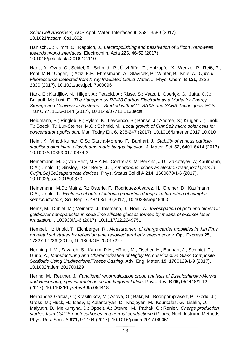*Solar Cell Absorbers,* ACS Appl. Mater. Interfaces **9,** 3581-3589 (2017), 10.1021/acsami.6b11892

Hänisch, J.; Klimm, C.; Rappich, J., *Electropolishing and passivation of Silicon Nanowires towards hybrid interfaces,* Electrochim. Acta **226,** 46-52 (2017), 10.1016/j.electacta.2016.12.110

Hans, A.; Ozga, C.; Seidel, R.; Schmidt, P.; Ültzhöffer, T.; Holzapfel, X.; Wenzel, P.; Reiß, P.; Pohl, M.N.; Unger, I.; Aziz, E.F.; Ehresmann, A.; Slavícek, P.; Winter, B.; Knie, A., *Optical Fluorescence Detected from X-ray Irradiated Liquid Water,* J. Phys. Chem. B **121,** 2326– 2330 (2017), 10.1021/acs.jpcb.7b00096

Härk, E.; Kardjilov, N.; Hilger, A.; Petzold, A.; Risse, S.; Vaas, I.; Goerigk, G.; Jafta, C.J.; Ballauff, M.; Lust, E., *The Nanoporous RP-20 Carbon Electrode as a Model for Energy Storage and Conversion Systems – Studied with µCT, SAXS and SANS Techniques,* ECS Trans. **77,** 1133-1144 (2017), 10.1149/07711.1133ecst

Heidmann, B.; Ringleb, F.; Eylers, K.; Levcenco, S.; Bonse, J.; Andree, S.; Krüger, J.; Unold, T.; Boeck, T.; Lux-Steiner, M.C.; Schmid, M., *Local growth of CuInSe2 micro solar cells for concentrator application,* Mat. Today En. **6,** 238-247 (2017), 10.1016/j.mtener.2017.10.010

Heim, K.; Vinod-Kumar, G.S.; Garcia-Moreno, F.; Banhart, J., *Stability of various particlestabilised aluminium alloysfoams made by gas injection,* J. Mater. Sci. **52,** 6401-6414 (2017), 10.1007/s10853-017-0874-3

Heinemann, M.D.; van Hest, M.F.A.M.; Contreras, M; Perkins, J.D.; Zakutayev, A; Kaufmann, C.A.; Unold, T; Ginsley, D.S.; Berry, J.J., *Amorphous oxides as electron transport layers in Cu(In,Ga)Se2superstrate devices,* Phys. Status Solidi A **214,** 1600870/1-6 (2017), 10.1002/pssa.201600870

Heinemann, M.D.; Mainz, R.; Österle, F.; Rodriguez-Alvarez, H.; Greiner, D.; Kaufmann, C.A.; Unold, T., *Evolution of opto-electronic properties during film formation of complex semiconductors,* Sci. Rep. **7,** 48463/1-9 (2017), 10.1038/srep45463

Heinz, M.; Dubiel, M.; Meinertz, J.; Ihlemann, J.; Hoell, A., *Investigation of gold and bimetallic gold/silver nanoparticles in soda-lime-silicate glasses formed by means of excimer laser irradiation,* **,** 100930I/1-6 (2017), 10.1117/12.2249751

Hempel, H.; Unold, T.; Eichberger, R., *Measurement of charge carrier mobilities in thin films on metal substrates by reflection time resolved terahertz spectroscopy,* Opt. Express **25,**  17227-17236 (2017), 10.1364/OE.25.017227

Henning, L.M.; Zavareh, S.; Kamm, P.H.; Höner, M.; Fischer, H.; Banhart, J.; Schmidt, F.; Gurlo, A., *Manufacturing and Characterization of Highly PorousBioactive Glass Composite Scaffolds Using UnidirectionalFreeze Casting,* Adv. Eng. Mater. **19,** 1700129/1-9 (2017), 10.1002/adem.201700129

Hering, M.; Reuther, J., *Functional renormalization group analysis of Dzyaloshinsky-Moriya and Heisenberg spin interactions on the kagome lattice,* Phys. Rev. B **95,** 054418/1-12 (2017), 10.1103/PhysRevB.95.054418

Hernandez-Garcia, C.; Krasilnikov, M.; Asova, G.; Bakr, M.; Boonpornprasert, P.; Godd, J.; Gross, M.; Huck, H.; Isaev, I.; Kalantaryan, D.; Khojoyan, M.; Kourkafas, G.; Lishlin, O.; Malyutin, D.; Melkumyna, D.; Oppelt, A.; Otevrel, M.; Pathak, G.; Renier,, *Charge production studies from Cs2TE photocathodes in a normal conductiong RF gun,* Nucl. Instrum. Methods Phys. Res. Sect. A **871,** 97-104 (2017), 10.1016/j.nima.2017.06.051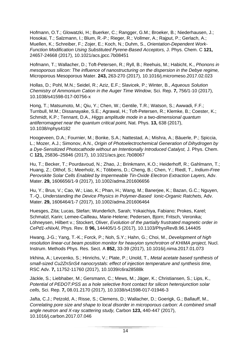Hofmann, O.T.; Glowatzki, H.; Buerker, C.; Rangger, G.M.; Broeker, B.; Niederhausen, J.; Hosokai, T.; Salzmann, I.; Blum, R.-P.; Rieger, R.; Vollmer, A.; Rajput, P.; Gerlach, A.; Muellen, K.; Schreiber, F.; Zojer, E.; Koch, N.; Duhm, S., *Orientation-Dependent Work-Function Modification Using Substituted Pyrene-Based Acceptors,* J. Phys. Chem. C **121,**  24657-24668 (2017), 10.1021/acs.jpcc.7b08451

Hofmann, T.; Wallacher, D.; Toft-Petersen, R.; Ryll, B.; Reehuis, M.; Habicht, K., *Phonons in mesoporous silicon: The influence of nanostructuring on the dispersion in the Debye regime,*  Microporous Mesoporous Mater. **243,** 263-270 (2017), 10.1016/j.micromeso.2017.02.023

Hollas, D.; Pohl, M.N.; Seidel, R.; Aziz, E.F.; Slavicek, P.; Winter, B., *Aqueous Solution Chemistry of Ammonium Cation in the Auger Time Window,* Sci. Rep. **7,** 756/1-10 (2017), 10.1038/s41598-017-00756-x

Hong, T.; Matsumoto, M.; Qiu, Y.; Chen, W.; Gentile, T.R.; Watson, S.; Awwadi, F.F.; Turnbull, M.M.; Dissanayake, S.E.; Agrawal, H.; Toft-Petersen, R.; Klemke, B.; Coester, K.; Schmidt, K.P.; Tennant, D.A., *Higgs amplitude mode in a two-dimensional quantum antiferromagnet near the quantum critical point,* Nat. Phys. **13,** 638 (2017), 10.1038/nphys4182

Hoogeveen, D.A.; Fournier, M.; Bonke, S.A.; Nattestad, A.; Mishra, A.; Bäuerle, P.; Spiccia, L.; Mozer, A.J.; Simonov, A.N., *Origin of Photoelectrochemical Generation of Dihydrogen by a Dye-Sensitized Photocathode without an Intentionally Introduced Catalyst,* J. Phys. Chem. C **121,** 25836–25846 (2017), 10.1021/acs.jpcc.7b08067

Hu, T.; Becker, T.; Pourdavoud, N.; Zhao, J.; Brinkmann, K.O.; Heiderhoff, R.; Gahlmann, T.; Huang, Z.; Olthof, S.; Meerholz, K.; Többens, D.; Cheng, B.; Chen, Y.; Riedl, T., *Indium-Free Perovskite Solar Cells Enabled by Impermeable Tin-Oxide Electron Extraction Layers, Adv.* Mater. **29,** 1606656/1-9 (2017), 10.1002/adma.201606656

Hu, Y.; Brus, V.; Cao, W.; Liao, K.; Phan, H.; Wang, M.; Banerjee, K.; Bazan, G.C.; Nguyen, T.-Q., *Understanding the Device Physics in Polymer-Based Ionic-Organic Ratchets,* Adv. Mater. **29,** 1606464/1-7 (2017), 10.1002/adma.201606464

Huesges, Zita; Lucas, Stefan; Wunderlich, Sarah; Yokaichiya, Fabiano; Prokes, Karel; Schmalzl, Karin; Lemee-Cailleau, Marie-Helene; Pedersen, Bjorn; Fritsch, Veronika; Löhneysen, Hilbert v.; Stockert, Oliver, *Evolution of the partially frustrated magnetic order in CePd1-xNixAl,* Phys. Rev. B **96,** 144405/1-5 (2017), 10.1103/PhysRevB.96.144405

Hwang, J-G.; Yang, T.-K.; Forck, P.; Noh, S.Y.; Hahn, G.; Choi, M., *Development of high resolution linear-cut beam position monitor for heavyion synchrotron of KHIMA project, Nucl.* Instrum. Methods Phys. Res. Sect. A **852,** 33-39 (2017), 10.1016/j.nima.2017.01.073

Irkhina, A.; Levcenko, S.; Hinrichs, V.; Plate, P.; Unold, T., *Metal acetate based synthesis of small-sized Cu2ZnSnS4 nanocrystals: effect of injection temperature and synthesis time,*  RSC Adv. **7,** 11752-11760 (2017), 10.1039/c6ra28588k

Jäckle, S.; Liebhaber, M.; Gersmann, C.; Mews, M.; Jäger, K.; Christiansen, S.; Lips, K., *Potential of PEDOT:PSS as a hole selective front contact for silicon heterojunction solar cells,* Sci. Rep. **7,** 08.01.2170 (2017), 10.1038/s41598-017-01946-3

Jafta, C.J.; Petzold, A.; Risse, S.; Clemens, D.; Wallacher, D.; Goerigk, G.; Ballauff, M., *Correlating pore size and shape to local disorder in microporous carbon: A combined small angle neutron and X-ray scattering study,* Carbon **123,** 440-447 (2017), 10.1016/j.carbon.2017.07.046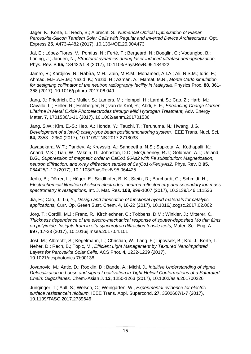Jäger, K.; Korte, L.; Rech, B.; Albrecht, S., *Numerical Optical Optimization of Planar Perovskite-Silicon Tandem Solar Cells with Regular and Inverted Device Architectures,* Opt. Express **25,** A473-A482 (2017), 10.1364/OE.25.00A473

Jal, E.; López-Flores, V.; Pontius, N.; Ferté, T.; Bergeard, N.; Boeglin, C.; Vodungbo, B.; Lüning, J.; Jaouen, N., *Structural dynamics during laser-induced ultrafast demagnetization,*  Phys. Rev. B **95,** 184422/1-8 (2017), 10.1103/PhysRevB.95.184422

Jamro, R.; Kardjilov, N.; Rabíra, M.H.; Zain, M.R.M.; Mohamed, A.I.A.; Ali, N.S.M.; Idris, F.; Ahmad, M.H.A.R.M.; Yazid, K.; Yazid, H.; Azman, A.; Mamat, M.R., *Monte Carlo simulation for designing collimator of the neutron radiography facility in Malaysia, Physics Proc.* 88, 361-368 (2017), 10.1016/j.phpro.2017.06.049

Jang, J.; Friedrich, D.; Müller, S.; Lamers, M.; Hempel, H.; Lardhi, S.; Cao, Z.; Harb, M.; Cavallo, L.; Heller, R.; Eichberger, R.; van de Krol, R.; Abdi, F. F., *Enhancing Charge Carrier Lifetime in Metal Oxide Photoelectrodes through Mild Hydrogen Treatment,* Adv. Energy Mater. **7,** 1701536/1-11 (2017), 10.1002/aenm.201701536

Jang, S.W.; Kim, E.-S.; Heo, A.; Honda, Y.; Tauchi, T.; Terunuma, N.; Hwang, J.G., *Development of a low-Q cavity-type beam positionmonitoring system, IEEE Trans. Nucl. Sci.* **64,** 2353 - 2360 (2017), 10.1109/TNS.2017.2718033

Jayasekara, W.T.; Pandey, A; Kreyssig, A.; Sangeetha, N.S.; Sapkota, A.; Kothapalli, K.; Anand, V.K.; Tian, W.; Vaknin, D.; Johnston, D.C.; McQueeney, R.J.; Goldman, A.I.; Ueland, B.G., *Suppression of magnetic order in CaCo1.86As2 with Fe substitution: Magnetization, neutron diffraction, and x-ray diffraction studies of Ca(Co1-xFex)yAs2,* Phys. Rev. B **95,**  064425/1-12 (2017), 10.1103/PhysRevB.95.064425

Jerliu, B.; Dörrer, L.; Hüger, E.; Seidlhofer, B.-K.; Steitz, R.; Borchardt, G.; Schmidt, H., *Electrochemical lithiation of silicon electrodes: neutron reflectometry and secondary ion mass spectrometry investigations,* Int. J. Mat. Res. **108,** 999-1007 (2017), 10.3139/146.111536

Jia, H.; Cao, J.; Lu, Y., *Design and fabrication of functional hybrid materials for catalytic applications,* Curr. Op. Green Sust. Chem. **4,** 16-22 (2017), 10.1016/j.cogsc.2017.02.002

Jörg, T.; Cordill, M.J.; Franz, R.; Kirchlechner, C.; Többens, D.M.; Winkler, J.; Mitterer, C., *Thickness dependence of the electro-mechanical response of sputter-deposited Mo thin films on polyimide: Insights from in situ synchrotron diffraction tensile tests,* Mater. Sci. Eng. A **697,** 17-23 (2017), 10.1016/j.msea.2017.04.101

Jost, M.; Albrecht, S.; Kegelmann, L.; Christian, W.; Lang, F.; Lipovsek, B.; Krc, J.; Korte, L.; Neher, D.; Rech, B.; Topic, M., *Efficient Light Management by Textured Nanoimprinted Layers for Perovskite Solar Cells,* ACS Phot. **4,** 1232-1239 (2017), 10.1021/acsphotonics.7b00138

Jovanovic, M.; Antic, D.; Rooklin, D.; Bande, A.; Michl, J., *Intuitive Understanding of sigma Delocalization in Loose and sigma Localization in Tight Helical Conformations of a Saturated Chain: Oligosilanes,* Chem.-Asian J. **12,** 1250-1263 (2017), 10.1002/asia.201700226

Junginger, T.; Aull, S.; Welsch, C.; Weingarten, W., *Experimental evidence for electric surface resistancein niobium,* IEEE Trans. Appl. Supercond. **27,** 3500607/1-7 (2017), 10.1109/TASC.2017.2739646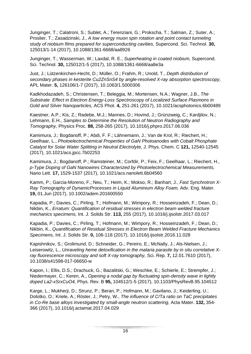Junginger, T.; Calatroni, S.; Sublet, A.; Terenziani, G.; Prokscha, T.; Salman, Z.; Suter, A.; Proslier, T.; Zasadzinski, J., *A low energy muon spin rotation and point contact tunneling study of niobium films prepared for superconducting cavities,* Supercond. Sci. Technol. **30,**  125013/1-14 (2017), 10.1088/1361-6668/aa8926

Junginger, T.; Wasserman, W.; Laxdal, R. E., *Superheating in coated niobium,* Supercond. Sci. Technol. **30,** 125012/1-5 (2017), 10.1088/1361-6668/aa8e3a

Just, J.; Lützenkirchen-Hecht, D.; Müller, O.; Frahm, R.; Unold, T., *Depth distribution of secondary phases in kesterite Cu2ZnSnS4 by angle-resolved X-ray absorption spectroscopy,*  APL Mater. **5,** 126106/1-7 (2017), 10.1063/1.5000306

Kadkhodazadeh, S.; Christensen, T.; Beleggia, M.; Mortensen, N.A.; Wagner, J.B., *The Substrate Effect in Electron Energy-Loss Spectroscopy of Localized Surface Plasmons in Gold and Silver Nanoparticles,* ACS Phot. **4,** 251-261 (2017), 10.1021/acsphotonics.6b00489

Kaestner, A.P.; Kis, Z.; Radebe, M.J.; Mannes, D.; Hovind, J.; Grünzweig, C.; Kardjilov, N.; Lehmann, E.H., *Samples to Determine the Resolution of Neutron Radiography and Tomography,* Physics Proc. **88,** 258-265 (2017), 10.1016/j.phpro.2017.06.036

Kamimura, J.; Bogdanoff, P.; Abdi, F. F.; Lähnemann, J.; Van de Krol, R.; Riechert, H.; Geelhaar, L., *Photoelectrochemical Properties of GaN Photoanodes with Cobalt Phosphate Catalyst for Solar Water Splitting in Neutral Electrolyte,* J. Phys. Chem. C **121,** 12540-12545 (2017), 10.1021/acs.jpcc.7b02253

Kamimura, J.; Bogdanoff, P.; Ramsteiner, M.; Corfdir, P.; Feix, F.; Geelhaar, L.; Riechert, H., *p-Type Doping of GaN Nanowires Characterized by Photoelectrochemical Measurements,*  Nano Lett. **17,** 1529-1537 (2017), 10.1021/acs.nanolett.6b04560

Kamm, P.; Garcia-Moreno, F.; Neu, T.; Heim, K.; Mokso, R.; Banhart, J., *Fast Synchrotron X-Ray Tomography of DynamicProcesses in Liquid Aluminium Alloy Foam,* Adv. Eng. Mater. **19,** 01.Jun (2017), 10.1002/adem.201600550

Kapadia, P.; Davies, C.; Pirling, T.; Hofmann, M.; Wimpory, R.; Hosseinzadeh, F.; Dean, D.; Nikbin, K., *Erratum: Quantification of residual stresses in electron beam welded fracture mechanics specimens,* Int. J. Solids Str. **113,** 255 (2017), 10.1016/j.ijsolstr.2017.03.017

Kapadia, P.; Davies, C.; Pirling, T.; Hofmann, M.; Wimpory, R.; Hosseinzadeh, F.; Dean, D.; Nikbin, K., *Quantification of Residual Stresses in Electron Beam Welded Fracture Mechanics Specimens,* Int. J. Solids Str. **0,** 106-118 (2017), 10.1016/j.ijsolstr.2016.11.028

Kapishnikov, S.; Grolimund, D.; Schneider, G.; Pereiro, E.; McNally, J.; Als-Nielsen, J.; Leiserowitz, L., *Unraveling heme detoxification in the malaria parasite by in situ correlative Xray fluorescence microscopy and soft X-ray tomography,* Sci. Rep. **7,** 12.01.7610 (2017), 10.1038/s41598-017-06650-w

Kapon, I.; Ellis, D.S.; Drachuck, G.; Bazalitski, G.; Weschke, E.; Schierle, E.; Strempfer, J.; Niedermayer, C.; Keren, A., *Opening a nodal gap by fluctuating spin-density wave in lightly doped La2-xSrxCuO4,* Phys. Rev. B **95,** 104512/1-5 (2017), 10.1103/PhysRevB.95.104512

Karge, L.; Mukherji, D.; Strunz, P.; Beran, P.; Hofmann, M.; Gavilano, J.; Keiderling, U.; Dolotko, O.; Kriele, A.; Rösler, J.; Petry, W., *The influence of C/Ta ratio on TaC precipitates in Co-Re base alloys investigated by small-angle neutron scattering,* Acta Mater. **132,** 354- 366 (2017), 10.1016/j.actamat.2017.04.029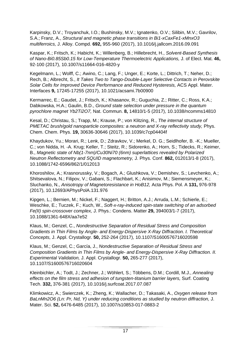Karpinsky, D.V.; Troyanchuk, I.O.; Bushinsky, M.V.; Ignatenko, O.V.; Silibin, M.V.; Gavrilov, S.A.; Franz, A., *Structural and magnetic phase transitions in Bi1-xCaxFe1-xMnxO3 multiferroics,* J. Alloy. Compd. **692,** 955-960 (2017), 10.1016/j.jallcom.2016.09.091

Kaspar, K.; Fritsch, K.; Habicht, K.; Willenberg, B.; Hillebrecht, H., *Solvent-Based Synthesis of Nano-Bi0.85Sb0.15 for Low-Temperature Thermoelectric Applications,* J. of Elect. Mat. **46,**  92-100 (2017), 10.1007/s11664-016-4820-y

Kegelmann, L.; Wolff, C.; Awino, C.; Lang, F.; Unger, E.; Korte, L.; Dittrich, T.; Neher, D.; Rech, B.; Albrecht, S., *It Takes Two to Tango-Double-Layer Selective Contacts in Perovskite Solar Cells for Improved Device Performance and Reduced Hysteresis,* ACS Appl. Mater. Interfaces **9,** 17245-17255 (2017), 10.1021/acsami.7b00900

Kermarrec, E.; Gaudet, J.; Fritsch, K.; Khasanov, R.; Guguchia, Z.; Ritter, C.; Ross, K.A.; Dabkowska, H.A.; Gaulin, B.D., *Ground state selection under pressure in the quantum pyrochlore magnet Yb2Ti2O7,* Nat. Commun. **8,** 14810/1-5 (2017), 10.1038/ncomms14810

Kesal, D.; Christau, S.; Trapp, M.; Krause, P.; von Klitzing, R., *The internal structure of PMETAC brush/gold nanoparticle composites: a neutron and X-ray reflectivity study, Phys.* Chem. Chem. Phys. **19,** 30636-30646 (2017), 10.1039/c7cp04404f

Khaydukov, Yu.; Morari, R.; Lenk, D.; Zdravkov, V.; Merkel, D. G.; Seidlhofer, B. -K.; Mueller, C.; von Nidda, H. -A. Krug; Keller, T.; Steitz, R.; Sidorenko, A.; Horn, S.; Tidecks, R.; Keimer, B., *Magnetic state of Nb(1-7nm)/Cu30Ni70 (6nm) superlattices revealed by Polarized Neutron Reflectometry and SQUID magnetometry,* J. Phys. Conf. **862,** 012013/1-8 (2017), 10.1088/1742-6596/862/1/012013

Khoroshilov, A.; Krasnorussky, V.; Bogach, A.; Glushkova, V.; Demishev, S.; Levchenko, A.; Shitsevalova, N.; Filipov, V.; Gabani, S.; Flachbart, K.; Anisimov, M.; Siemensmeyer, K.; Sluchanko, N., *Anisotropy of Magnetoresistance in HoB12,* Acta Phys. Pol. A **131,** 976-978 (2017), 10.12693/APhysPolA.131.976

Kipgen, L.; Bernien, M.; Nickel, F.; Naggert, H.; Britton, A.J.; Arruda, L.M.; Schierle, E.; Weschke, E.; Tuczek, F.; Kuch, W., *Soft-x-ray-induced spin-state switching of an adsorbed Fe(II) spin-crossover complex,* J. Phys.: Condens. Matter **29,** 394003/1-7 (2017), 10.1088/1361-648X/aa7e52

Klaus, M.; Genzel, C., *Nondestructive Separation of Residual Stress and Composition Gradients in Thin Films by Angle- and Energy-Dispersive X-Ray Diffraction. I. Theoretical Concepts,* J. Appl. Crystallogr. **50,** 252-264 (2017), 10.1107/S1600576716020598

Klaus, M.; Genzel, C.; García, J., *Nondestructive Separation of Residual Stress and Composition Gradients in Thin Films by Angle- and Energy-Dispersive X-Ray Diffraction. II. Experimental Validation,* J. Appl. Crystallogr. **50,** 265-277 (2017), 10.1107/S1600576716020604

Kleinbichler, A.; Todt, J.; Zechner, J.; Wöhlert, S.; Többens, D.M.; Cordill, M.J., *Annealing effects on the film stress and adhesion of tungsten-titanium barrier layers,* Surf. Coating Tech. **332,** 376-381 (2017), 10.1016/j.surfcoat.2017.07.087

Klimkowicz, A.; Swierczek, K.; Zheng, K.; Wallacher, D.; Takasaki, A., *Oxygen release from BaLnMn2O6 (Ln: Pr, Nd, Y) under reducing conditions as studied by neutron diffraction,* J. Mater. Sci. **52,** 6476-6485 (2017), 10.1007/s10853-017-0883-2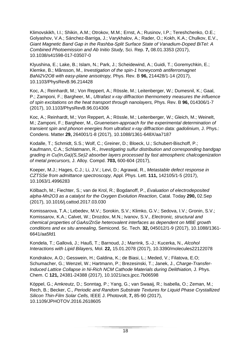Klimovskikh, I.I.; Shikin, A.M.; Otrokov, M.M.; Ernst, A.; Rusinov, I.P.; Tereshchenko, O.E.; Golyashov, V.A.; Sánchez-Barriga, J.; Varykhalov, A.; Rader, O.; Kokh, K.A.; Chulkov, E.V., *Giant Magnetic Band Gap in the Rashba-Split Surface State of Vanadium-Doped BiTeI: A Combined Photoemission and Ab Initio Study,* Sci. Rep. **7,** 08.01.3353 (2017), 10.1038/s41598-017-03507-0

Klyushina, E.; Lake, B.; Islam, N.; Park, J.; Scheidewind, A.; Guidi, T.; Goremychkin, E.; Klemke, B.; Månsson, M., *Investigation of the spin-1 honeycomb antiferromagnet BaNi2V2O8 with easy-plane anisotropy,* Phys. Rev. B **96,** 214428/1-14 (2017), 10.1103/PhysRevB.96.214428

Koc, A.; Reinhardt, M.; Von Reppert, A.; Rössle, M.; Leitenberger, W.; Dumesnil, K.; Gaal, P.; Zamponi, F.; Bargheer, M., *Ultrafast x-ray diffraction thermometry measures the influence of spin excitations on the heat transport through nanolayers,* Phys. Rev. B **96,** 014306/1-7 (2017), 10.1103/PhysRevB.96.014306

Koc, A.; Reinhardt, M.; Von Reppert, A.; Rössle, M.; Leitenberger, W.; Gleich, M.; Weinelt, M.; Zamponi, F.; Bargheer, M., *Grueneisen-approach for the experimental determination of transient spin and phonon energies from ultrafast x-ray diffraction data: gadolinium,* J. Phys.: Condens. Matter **29,** 264001/1-8 (2017), 10.1088/1361-648X/aa7187

Kodalle, T.; Schmidt, S.S.; Wolf, C.; Greiner, D.; Bloeck, U.; Schubert-Bischoff, P.; Kaufmann, C.A.; Schlatmann, R., *Investigating sulfur distribution and corresponding bandgap grading in Cu(In,Ga)(S,Se)2 absorber layers processed by fast atmospheric chalcogenization of metal precursors,* J. Alloy. Compd. **703,** 600-604 (2017),

Koeper, M.J.; Hages, C.J.; Li, J.V.; Levi, D.; Agrawal, R., *Metastable defect response in CZTSSe from admittance spectroscopy,* Appl. Phys. Lett. **111,** 142105/1-5 (2017), 10.1063/1.4996283

Kölbach, M.; Fiechter, S.; van de Krol, R.; Bogdanoff, P., *Evaluation of electrodeposited alpha-Mn2O3 as a catalyst for the Oxygen Evolution Reaction,* Catal. Today **290,** 02.Sep (2017), 10.1016/j.cattod.2017.03.030

Komissarova, T.A.; Lebedev, M.V.; Sorokin, S.V.; Klimko, G.V.; Sedova, I.V.; Gronin, S.V.; Komissarov, K.A.; Calvet, W.; Drozdov, M.N.; Ivanov, S.V., *Electronic, structural and chemical properties of GaAs/ZnSe heterovalent interfaces as dependent on MBE growth conditions and ex situ annealing,* Semicond. Sc. Tech. **32,** 045012/1-9 (2017), 10.1088/1361- 6641/aa5fd1

Kondela, T.; Gallová, J.; Hauß, T.; Barnoud, J.; Marrink, S.-J.; Kucerka, N., *Alcohol Interactions with Lipid Bilayers,* Mol. **22,** 15.01.2078 (2017), 10.3390/molecules22122078

Kondrakov, A.O.; Gesswein, H.; Galdina, K.; de Biasi, L.; Meded, V.; Filatova, E.O; Schumacher, G.; Wenzel, W.; Hartmann, P.; Brezesinski, T.; Janek, J., *Charge-Transfer-Induced Lattice Collapse in Ni-Rich NCM Cathode Materials during Delithiation, J. Phys.* Chem. C **121,** 24381-24388 (2017), 10.1021/acs.jpcc.7b06598

Köppel, G.; Amkreutz, D.; Sonntag, P.; Yang, G.; van Swaaij, R.; Isabella, O.; Zeman, M.; Rech, B.; Becker, C., *Periodic and Random Substrate Textures for Liquid Phase Crystallized Silicon Thin-Film Solar Cells,* IEEE J. Photovolt, **7,** 85-90 (2017), 10.1109/JPHOTOV.2016.2618605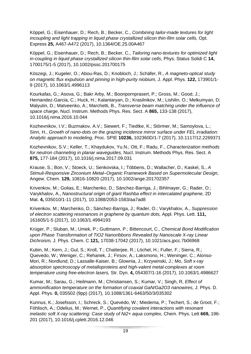Köppel, G.; Eisenhauer, D.; Rech, B.; Becker, C., *Combining tailor-made textures for light incoupling and light trapping in liquid phase crystallized silicon thin-film solar cells, Opt.* Express **25,** A467-A472 (2017), 10.1364/OE.25.00A467

Köppel, G.; Eisenhauer, D.; Rech, B.; Becker, C., *Tailoring nano-textures for optimized light in-coupling in liquid phase crystallized silicon thin-film solar cells,* Phys. Status Solidi C **14,**  1700175/1-5 (2017), 10.1002/pssc.201700175

Köszegi, J.; Kugeler, O.; Abou-Ras, D.; Knobloch, J.; Schäfer, R., *A magneto-optical study on magnetic flux expulsion and pinning in high-purity niobium,* J. Appl. Phys. **122,** 173901/1- 9 (2017), 10.1063/1.4996113

Kourkafas, G.; Asova, G.; Bakr Arby, M.; Boonpornprasert, P.; Gross, M.; Good, J.; Hernandez-Garcia, C.; Huck, H.; Kalantaryan, D.; Krasilnikov, M.; Lishilin, O.; Melkumyan, D; Malyutin, D.; Matveenko, A.; Marchetti, B., *Transverse beam matching under the influence of space charge,* Nucl. Instrum. Methods Phys. Res. Sect. A **865,** 133-138 (2017), 10.1016/j.nima.2016.10.044

Kozhevnikov, I.V.; Buzmakov, A.V.; Siewert, F.; Tiedtke, K.; Störmer, M.; Samoylova, L.; Sinn, H., *Growth of nano-dots on the grazing incidence mirror surface under FEL irradiation: Analytic approach to modeling,* Proc. SPIE **10236,** 102360D/1-7 (2017), 10.1117/12.2269371

Kozhevnikov, S.V.; Keller, T.; Khaydukov, Yu.N.; Ott, F.; Radu, F., *Characterization methods for neutron channeling in planar waveguides,* Nucl. Instrum. Methods Phys. Res. Sect. A **875,** 177-184 (2017), 10.1016/j.nima.2017.09.031

Krause, S.; Bon, V.; Stoeck, U.; Senkovska, I.; Többens, D.; Wallacher, D.; Kaskel, S., *A Stimuli-Responsive Zirconium Metal–Organic Framework Based on Supermolecular Design,*  Angew. Chem. **129,** 10816-10820 (2017), 10.1002/ange.201702357

Krivenkov, M.; Golias, E.; Marchenko, D.; Sánchez-Barriga, J.; Bihlmayer, G.; Rader, O.; Varykhalov, A., *Nanostructural origin of giant Rashba effect in intercalated graphene,* 2D Mat. **4,** 035010/1-11 (2017), 10.1088/2053-1583/aa7ad8

Krivenkov, M.; Marchenko, D.; Sánchez-Barriga, J.; Rader, O.; Varykhalov, A., *Suppression of electron scattering resonances in graphene by quantum dots,* Appl. Phys. Lett. **111,**  161605/1-5 (2017), 10.1063/1.4994193

Krüger, P.; Sluban, M.; Umek, P.; Guttmann, P.; Bittencourt, C., *Chemical Bond Modification upon Phase Transformation of TiO2 Nanoribbons Revealed by Nanoscale X-ray Linear Dichroism,* J. Phys. Chem. C **121,** 17038-17042 (2017), 10.1021/acs.jpcc.7b06968

Kubin, M.; Kern, J.; Gul, S.; Kroll, T.; Chatterjee, R.; Löchel, H.; Fuller, F.; Sierra, R.; Quevedo, W.; Weniger, C.; Rehanek, J.; Firsov, A.; Laksmono, H.; Weninger, C.; Alonso-Mori, R.; Nordlund, D.; Lassalle-Kaiser, B.; Glownia, J.; Krzywinski, J.; Mo, *Soft x-ray absorption spectroscopy of metalloproteins and high-valent metal-complexes at room temperature using free-electron lasers,* Str. Dyn. **4,** 054307/1-16 (2017), 10.1063/1.4986627

Kumar, M.; Sarau, G.; Heilmann, M.; Christiansen, S.; Kumar, V.; Singh, R, *Effect of ammonification temperature on the formation of coaxial GaN/Ga2O3 nanowires,* J. Phys. D. Appl. Phys. **0,** 035502 (9pp) (2017), 10.1088/1361-6463/50/3/035302

Kunnus, K.; Josefsson, I.; Schreck, S.; Quevedo, W.; Miedema, P.; Techert, S.; de Groot, F.; Föhlisch, A.; Odelius, M.; Wernet, P., *Quantifying covalent interactions with resonant inelastic soft X-ray scattering: Case study of Ni2+ aqua complex,* Chem. Phys. Lett **669,** 196- 201 (2017), 10.1016/j.cplett.2016.12.046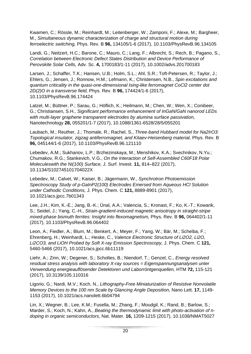Kwamen, C.; Rössle, M.; Reinhardt, M.; Leitenberger, W.; Zamponi, F.; Alexe, M.; Bargheer, M., *Simultaneous dynamic characterization of charge and structural motion during ferroelectric switching,* Phys. Rev. B **96,** 134105/1-6 (2017), 10.1103/PhysRevB.96.134105

Landi, G.; Neitzert, H.C.; Barone, C.; Mauro, C.; Lang, F.; Albrecht, S.; Rech, B.; Pagano, S., *Correlation between Electronic Defect States Distribution and Device Performance of Perovskite Solar Cells,* Adv. Sc. **4,** 1700183/1-11 (2017), 10.1002/advs.201700183

Larsen, J.; Schaffer, T.K.; Hansen, U.B.; Holm, S.L.; Ahl, S.R.; Toft-Petersen, R.; Taylor, J.; Ehlers, G.; Jensen, J.; Ronnow, H.M.; Lefmann, K.; Christensen, N.B., *Spin excitations and quantum criticality in the quasi-one-dimensional Ising-like ferromagnet CoCl2 center dot 2D(2)O in a transverse field,* Phys. Rev. B **96,** 174424/1-6 (2017), 10.1103/PhysRevB.96.174424

Latzel, M.; Büttner, P.; Sarau, G.; Höflich, K.; Heilmann, M.; Chen, W.; Wen, X.; Conibeer, G.; Christiansen, S.H., *Significant performance enhancement of InGaN/GaN nanorod LEDs with multi-layer graphene transparent electrodes by alumina surface passivation,*  Nanotechnology **28,** 055201/1-7 (2017), 10.1088/1361-6528/28/5/055201

Laubach, M.; Reuther, J.; Thomale, R.; Rachel, S., *Three-band Hubbard model for Na2IrO3: Topological insulator, zigzag antiferromagnet, and Kitaev-Heisenberg material,* Phys. Rev. B **96,** 045144/1-6 (2017), 10.1103/PhysRevB.96.121110

Lebedev, A.M.; Sukhanov, L.P.; Brzhezinskaya, M.; Menshikov, K.A.; Svechnikov, N.Yu.; Chumakov, R.G.; Stankevich, V.G., *On the Interaction of Self-Assembled C60F18 Polar Moleculeswith the Ni(100) Surface,* J. Surf. Invest. **11,** 814–822 (2017), 10.1134/S102745101704022X

Lebedev, M.; Calvet, W.; Kaiser, B.; Jägermann, W., *Synchrotron Photoemission Spectroscopy Study of p-GaInP2(100) Electrodes Emersed from Aqueous HCl Solution under Cathodic Conditions,* J. Phys. Chem. C **121,** 8889-8901 (2017), 10.1021/acs.jpcc.7b01343

Lee, J.H.; Kim, K.-E.; Jang, B.-K.; Ünal, A.A.; Valencia, S.; Kronast, F.; Ko, K.-T.; Kowarik, S.; Seidel, J.; Yang, C.-H., *Strain-gradient-induced magnetic anisotropy in straight-stripe mixed-phase bismuth ferrites: Insight into flexomagnetism,* Phys. Rev. B **96,** 064402/1-11 (2017), 10.1103/PhysRevB.96.064402

Leon, A.; Fiedler, A.; Blum, M.; Benkert, A.; Meyer, F.; Yang, W.; Bär, M.; Scheiba, F.; Ehrenberg, H.; Weinhardt, L.; Heske, C., *Valence Electronic Structure of Li2O2, Li2O, Li2CO3, and LiOH Probed by Soft X-ray Emission Spectroscopy,* J. Phys. Chem. C **121,**  5460-5466 (2017), 10.1021/acs.jpcc.6b11119

Liehr, A.; Zinn, W.; Degener, S.; Scholtes, B.; Niendorf, T.; Genzel, C., *Energy resolved residual stress analysis with laboratory X-ray sources = Eigenspannungsanalysen unter Verwendung energieauflösender Detektoren und Laborröntgenquellen,* HTM **72,** 115-121 (2017), 10.3139/105.110316

Ligorio, G.; Nardi, M.V.; Koch, N., *Lithography-Free Miniaturization of Resistive Nonvolatile Memory Devices to the 100 nm Scale by Glancing Angle Deposition, Nano Lett.* **17,** 1149-1153 (2017), 10.1021/acs.nanolett.6b04794

Lin, X.; Wegner, B.; Lee, K.M.; Fusella, M.; Zhang, F.; Moudgil, K.; Rand, B.; Barlow, S.; Marder, S.; Koch, N.; Kahn, A., *Beating the thermodynamic limit with photo-activation of ndoping in organic semiconductors,* Nat. Mater. **16,** 1209-1215 (2017), 10.1038/NMAT5027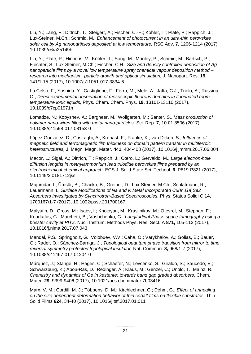Liu, Y.; Lang, F.; Dittrich, T.; Steigert, A.; Fischer, C.-H.; Köhler, T.; Plate, P.; Rappich, J.; Lux-Steiner, M.Ch.; Schmid, M., *Enhancement of photocurrent in an ultra-thin perovskite solar cell by Ag nanoparticles deposited at low temperature,* RSC Adv. **7,** 1206-1214 (2017), 10.1039/c6ra25149h

Liu, Y.; Plate, P.; Hinrichs, V.; Köhler, T.; Song, M.; Manley, P.; Schmid, M.; Bartsch, P.; Fiechter, S.; Lux-Steiner, M.Ch.; Fischer, C.H., *Size and density controlled deposition of Ag nanoparticle films by a novel low temperature spray chemical vapour deposition method – research into mechanism, particle growth and optical simulation, J. Nanopart. Res. 19,* 141/1-15 (2017), 10.1007/s11051-017-3834-6

Lo Celso, F.; Yoshida, Y.; Castiglione, F.; Ferro, M.; Mele, A.; Jafta, C.J.; Triolo, A.; Russina, O., *Direct experimental observation of mesoscopic fluorous domains in fluorinated room temperature ionic liquids,* Phys. Chem. Chem. Phys. **19,** 13101-13110 (2017), 10.1039/c7cp01971h

Lomadze, N.; Kopyshev, A.; Bargheer, M.; Wollgarten, M.; Santer, S., *Mass production of polymer nano-wires filled with metal nano-particles,* Sci. Rep. **7,** 10.01.8506 (2017), 10.1038/s41598-017-08153-0

López González, D.; Casiraghi, A.; Kronast, F.; Franke, K.; van Dijken, S., *Influence of magnetic field and ferromagnetic film thickness on domain pattern transfer in multiferroic heterostructures,* J. Magn. Magn. Mater. **441,** 404-408 (2017), 10.1016/j.jmmm.2017.06.004

Macor, L.; Sigal, A.; Dittrich, T.; Rappich, J.; Otero, L.; Gervaldo, M., *Large electron-hole diffusion lengths in methylammonium lead triiodide perovskite films prepared by an electrochemical-chemical approach,* ECS J. Solid State Sci. Technol. **6,** P819-P821 (2017), 10.1149/2.0181712jss

Majumdar, I.; Ümsür, B.; Chacko, B.; Greiner, D.; Lux-Steiner, M.Ch.; Schlatmann, R.; Lauermann, I., *Surface Modifications of Na and K Metal Incorporated Cu(In,Ga)Se2 Absorbers Investigated by Synchrotron-Based Spectroscopies,* Phys. Status Solidi C **14,**  1700167/1-7 (2017), 10.1002/pssc.201700167

Malyutin, D.; Gross, M.; Isaev, I.; Khojoyan, M.; Krasilnikov, M.; Otevrel, M.; Stephan, F.; Kourkafas, G.; Marchetti, B.; Vashchenko, G., *Longitudinal Phase space tomography using a bosster cavity at PITZ,* Nucl. Instrum. Methods Phys. Res. Sect. A **871,** 105-112 (2017), 10.1016/j.nima.2017.07.043

Mandal, P.S.; Springholz, G.; Volobuev, V.V.; Caha, O.; Varykhalov, A.; Golias, E.; Bauer, G.; Rader, O.; Sánchez-Barriga, J., *Topological quantum phase transition from mirror to time reversal symmetry protected topological insulator,* Nat. Commun. **8,** 968/1-7 (2017), 10.1038/s41467-017-01204-0

Márquez, J.; Stange, H.; Hages, C.; Schaefer, N.; Levcenko, S.; Giraldo, S.; Saucedo, E.; Schwarzburg, K.; Abou-Ras, D.; Redinger, A.; Klaus, M.; Genzel, C.; Unold, T.; Mainz, R., *Chemistry and dynamics of Ge in kesterite: towards band gap graded absorbers,* Chem. Mater. **29,** 9399-9406 (2017), 10.1021/acs.chemmater.7b03416

Marx, V. M.; Cordill, M. J.; Többens, D. M.; Kirchlechner, C.; Dehm, G., *Effect of annealing on the size dependent deformation behavior of thin cobalt films on flexible substrates,* Thin Solid Films **624,** 34-40 (2017), 10.1016/j.tsf.2017.01.011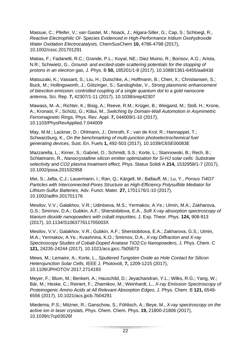Massue, C.; Pfeifer, V.; van Gastel, M.; Noack, J.; Algara-Siller, G.; Cap, S.; Schloegl, R., *Reactive Electrophilic OI- Species Evidenced in High-Performance Iridium Oxohydroxide Water Oxidation Electrocatalysts,* ChemSusChem **10,** 4786-4798 (2017), 10.1002/cssc.201701291

Matias, F.; Fadanelli, R.C.; Grande, P.L.; Koyal, NE.; Diez Muino, R.; Borisov, A.G.; Arista, N.R.; Schiwietz, G., *Ground- and excited-state scattering potentials for the stopping of protons in an electron gas,* J. Phys. B **50,** 185201/1-8 (2017), 10.1088/1361-6455/aa843d

Matsuzaki, K.; Vassant, S.; Liu, H.; Dutschke, A.; Hoffmann, B.; Chen, X.; Christiansen, S.; Buck, M.; Hollingsworth, J.; Götzinger, S.; Sandoghdar, V., *Strong plasmonic enhancement of biexciton emission: controlled coupling of a single quantum dot to a gold nanocone antenna,* Sci. Rep. **7,** 42307/1-11 (2017), 10.1038/srep42307

Mawass, M.-A.; Richter, K.; Bisig, A.; Reeve, R.M.; Krüger, B.; Weigand, M.; Stoll, H.; Krone, A.; Kronast, F.; Schütz, G.; Kläui, M., *Switching by Domain-Wall Automotion in Asymmetric Ferromagnetic Rings,* Phys. Rev. Appl. **7,** 044009/1-10 (2017), 10.1103/PhysRevApplied.7.044009

May, M.M.; Lackner, D.; Ohlmann, J.; Dimroth, F.; van de Krol, R.; Hannappel, T.; Schwarzburg, K., *On the benchmarking of multi-junction photoelectrochemical fuel generating devices,* Sust. En. Fuels **1,** 492-503 (2017), 10.1039/C6SE00083E

Mazzarella, L.; Kirner, S.; Gabriel, O.; Schmidt, S.S.; Korte, L.; Stannowski, B.; Rech, B.; Schlatmann, R., *Nanocrystalline silicon emitter optimization for Si-HJ solar cells: Substrate selectivity and CO2 plasma treatment effect,* Phys. Status Solidi A **214,** 1532958/1-7 (2017), 10.1002/pssa.201532958

Mei, S.; Jafta, C.J.; Lauermann, I.; Ran, Q.; Kärgell, M.; Ballauff, M.; Lu, Y., *Porous Ti4O7 Particles with Interconnected-Pores Structure as High-Efficiency Polysulfide Mediator for Lithium-Sulfur Batteries,* Adv. Funct. Mater. **27,** 1701176/1-10 (2017), 10.1002/adfm.201701176

Mesilov, V.V.; Galakhov, V.R.; Udintseva, M.S.; Yermakov, A.Ye.; Uimin, M.A.; Zakharova, G.S.; Smirnov, D.A.; Gubkin, A.F.; Sherstobitova, E.A., *Soft X-ray absorption spectroscopy of titanium dioxide nanopowders with cobalt impurities,* J. Exp. Theor. Phys. **124,** 908-913 (2017), 10.1134/S106377611705003X

Mesilov, V.V.; Galakhov, V.R.; Gubkin, A.F.; Sherstobitova, E.A.; Zakharova, G.S.; Uimin, M.A.; Yermakov, A.Ye.; Kvashnina, K.O.; Smirnov, D.A., *X-ray Diffraction and X-ray Spectroscopy Studies of Cobalt-Doped Anatase TiO2:Co Nanopowders,* J. Phys. Chem. C **121,** 24235-24244 (2017), 10.1021/acs.jpcc.7b05873

Mews, M.; Lemaire, A.; Korte, L., *Sputtered Tungsten Oxide as Hole Contact for Silicon Heterojunction Solar Cells,* IEEE J. Photovolt, **7,** 1209-1215 (2017), 10.1109/JPHOTOV.2017.2714193

Meyer, F.; Blum, M.; Benkert, A.; Hauschild, D.; Jeyachandran, Y.L.; Wilks, R.G.; Yang, W.; Bär, M.; Heske, C.; Reinert, F.; Zharnikov, M.; Weinhardt, L., *X-ray Emission Spectroscopy of Proteinogenic Amino Acids at All Relevant Absorption Edges,* J. Phys. Chem. B **121,** 6549- 6556 (2017), 10.1021/acs.jpcb.7b04291

Miedema, P.S.; Mitzner, R.; Ganschow, S.; Föhlisch, A.; Beye, M., *X-ray spectroscopy on the active ion in laser crystals,* Phys. Chem. Chem. Phys. **19,** 21800-21806 (2017), 10.1039/c7cp03026f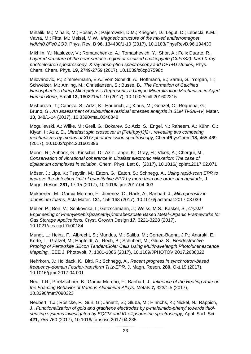Mihalik, M.; Mihalik, M.; Hoser, A.; Pajerowski, D.M.; Kriegner, D.; Legut, D.; Lebecki, K.M.; Vavra, M.; Fitta, M.; Meisel, M.W., *Magnetic structure of the mixed antiferromagnet NdMn0.8Fe0.2O3,* Phys. Rev. B **96,** 134430/1-10 (2017), 10.1103/PhysRevB.96.134430

Mikhlin, Y.; Nasluzov, V.; Romanchenko, A.; Tomashevich, Y.; Shor, A.; Felix Duarte, R., *Layered structure of the near-surface region of oxidized chalcopyrite (CuFeS2): hard X-ray photoelectron spectroscopy, X-ray absorption spectroscopy and DFT+U studies,* Phys. Chem. Chem. Phys. **19,** 2749-2759 (2017), 10.1039/c6cp07598c

Milovanovic, P.; Zimmermann, E.A.; vom Scheidt, A.; Hoffmann, B.; Sarau, G.; Yorgan, T.; Schweizer, M.; Amling, M.; Christiansen, S.; Busse, B., *The Formation of Calcified Nanospherites during Micropetrosis Represents a Unique Mineralization Mechanism in Aged Human Bone,* Small **13,** 1602215/1-10 (2017), 10.1002/smll.201602215

Mishurova, T.; Cabeza, S.; Artzt, K.; Haubrich, J.; Klaus, M.; Genzel, C.; Requena, G.; Bruno, G., *An assessment of subsurface residual stresses analysis in SLM Ti-6Al-4V,* Mater. **10,** 348/1-14 (2017), 10.3390/ma10040348

Moguilevski, A.; Wilke, M.; Grell, G.; Bokarev, S.; Aziz, S.; Engel, N.; Raheem, A.; Kühn, O.; Kiyan, I.; Aziz, E., *Ultrafast spin crossover in [FeII(bpy)3]2+: revealing two competing mechanisms by means of XUV photoemission spectroscopy,* ChemPhysChem **18,** 465-469 (2017), 10.1002/cphc.201601396

Monni, R.; Auböck, G.; Kinschel, D.; Aziz-Lange, K.; Gray, H.; Vlcek, A.; Chergui, M., *Conservation of vibrational coherence in ultrafast electronic relaxation: The case of diplatinum complexes in solution,* Chem. Phys. Lett **0,** (2017), 10.1016/j.cplett.2017.02.071

Möser, J.; Lips, K.; Tseytlin, M.; Eaton, G.; Eaton, S.; Schnegg, A., *Using rapid-scan EPR to improve the detection limit of quantitative EPR by more than one order of magnitude, J.* Magn. Reson. **281,** 17-15 (2017), 10.1016/j.jmr.2017.04.003

Mukherjee, M.; Garcia-Moreno, F.; Jimenez, C.; Rack, A.; Banhart, J., *Microporosity in aluminium foams,* Acta Mater. **131,** 156-168 (2017), 10.1016/j.actamat.2017.03.039

Müller, P.; Bon, V.; Senkovska, I.; Getzschmann, J.; Weiss, M.S.; Kaskel, S., *Crystal Engineering of Phenylenebis(azanetriyl))tetrabenzoate Based Metal-Organic Frameworks for Gas Storage Applications,* Cryst. Growth Design **17,** 3221-3228 (2017), 10.1021/acs.cgd.7b00184

Mundt, L.; Heinz, F.; Albrecht, S.; Mundus, M.; Saliba, M.; Correa-Baena, J.P.; Anaraki, E.; Korte, L.; Grätzel, M.; Hagfeldt, A.; Rech, B.; Schubert, M.; Glunz, S., *Nondestructive Probing of Perovskite Silicon TandemSolar Cells Using Multiwavelength Photoluminescence Mapping,* IEEE J. Photovolt, **7,** 1081-1086 (2017), 10.1109/JPHOTOV.2017.2688022

Nehrkorn, J.; Holldack, K.; Bittl, R.; Schnegg, A., *Recent progress in synchrotron-based frequency-domain Fourier-transform THz-EPR,* J. Magn. Reson. **280,** Okt.19 (2017), 10.1016/j.jmr.2017.04.001

Neu, T.R.; Pfretzschner, B.; Garcia-Moreno, F.; Banhart, J., *Influence of the Heating Rate on the Foaming Behavior of Various Aluminium Alloys,* Metals **7,** 323/1-5 (2017), 10.3390/met7090323

Neubert, T.J.; Rösicke, F.; Sun, G.; Janietz, S.; Gluba, M.; Hinrichs, K.; Nickel, N.; Rappich, J., *Functionalization of gold and graphene electrodes by p-maleimido-phenyl towards thiolsensing systems investigated by EQCM and IR ellipsometric spectroscopy,* Appl. Surf. Sci. **421,** 755-760 (2017), 10.1016/j.apsusc.2017.04.235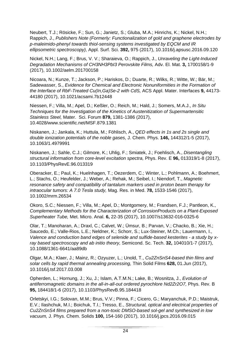Neubert, T.J.; Rösicke, F.; Sun, G.; Janietz, S.; Gluba, M.A.; Hinrichs, K.; Nickel, N.H.; Rappich, J., *Publishers Note (Formerly: Functionalization of gold and graphene electrodes by p-maleimido-phenyl towards thiol-sensing systems investigated by EQCM and IR ellipsometric spectroscopy),* Appl. Surf. Sci. **392,** 975 (2017), 10.1016/j.apsusc.2016.09.120

Nickel, N.H.; Lang, F.; Brus, V. V.; Sharaieva, O.; Rappich, J., *Unraveling the Light-Induced Degradation Mechanisms of CH3NH3PbI3 Perovskite Films,* Adv. El. Mat. **3,** 1700158/1-9 (2017), 10.1002/aelm.201700158

Nicoara, N.; Kunze, T.; Jackson, P.; Hariskos, D.; Duarte, R.; Wilks, R.; Witte, W.; Bär, M.; Sadewasser, S., *Evidence for Chemical and Electronic Nonuniformities in the Formation of the Interface of RbF-Treated Cu(In,Ga)Se-2 with CdS,* ACS Appl. Mater. Interfaces **9,** 44173- 44180 (2017), 10.1021/acsami.7b12448

Niessen, F.; Villa, M.; Apel, D.; Keßler, O.; Reich, M.; Hald, J.; Somers, M.A.J., *In Situ Techniques for the Investigation of the Kinetics of Austenitization of Supermartensitic Stainless Steel,* Mater. Sci. Forum **879,** 1381-1386 (2017), 10.4028/www.scientific.net/MSF.879.1381

Niskanen, J.; Jankala, K.; Huttula, M.; Föhlisch, A., *QED effects in 1s and 2s single and double ionization potentials of the noble gases,* J. Chem. Phys. **146,** 144312/1-5 (2017), 10.1063/1.4979991

Niskanen, J.; Sahle, C.J.; Gilmore, K.; Uhlig, F.; Smiatek, J.; Foehlisch, A., *Disentangling structural information from core-level excitation spectra,* Phys. Rev. E **96,** 013319/1-8 (2017), 10.1103/PhysRevE.96.013319

Oberacker, E.; Paul, K.; Huelnhagen, T.; Oezerdem, C.; Winter, L.; Pohlmann, A.; Boehmert, L.; Stachs, O.; Heufelder, J.; Weber, A.; Rehak, M.; Seibel, I.; Niendorf, T., *Magnetic resonance safety and compatibility of tantalum markers used in proton beam therapy for intraocular tumors: A 7.0 Tesla study,* Mag. Res. in Med. **78,** 1533-1546 (2017), 10.1002/mrm.26534

Okoro, S.C.; Niessen, F.; Villa, M.; Apel, D.; Montgomery, M.; Frandsen, F.J.; Pantleon, K., *Complementary Methods for the Characterization of CorrosionProducts on a Plant-Exposed Superheater Tube,* Met. Micro. Anal. **6,** 22-35 (2017), 10.1007/s13632-016-0325-6

Olar, T.; Manoharan, A.; Draxl, C.; Calvet, W.; Ümsur, B.; Parvan, V.; Chacko, B.; Xie, H.; Saucedo, E.; Valle-Rios, L.E.; Neldner, K.; Schorr, S.; Lux-Steiner, M.Ch.; Lauermann, I., *Valence and conduction band edges of selenide and sulfide-based kesterites - a study by xray based spectroscopy and ab initio theory,* Semicond. Sc. Tech. **32,** 104010/1-7 (2017), 10.1088/1361-6641/aa89db

Olgar, M.A.; Klaer, J.; Mainz, R.; Ozyuzer, L.; Unold, T., *Cu2ZnSnS4-based thin films and solar cells by rapid thermal annealing processing,* Thin Solid Films **628,** 01.Jun (2017), 10.1016/j.tsf.2017.03.008

Opherden, L.; Hornung, J.; Xu, J.; Islam, A.T.M.N.; Lake, B.; Wosnitza, J., *Evolution of antiferromagnetic domains in the all-in-all-out ordered pyrochlore Nd2Zr2O7,* Phys. Rev. B **95,** 184418/1-6 (2017), 10.1103/PhysRevB.95.184418

Orletskyi, I.G.; Solovan, M.M.; Brus, V.V.; Pinna, F.; Cicero, G.; Maryanchuk, P.D.; Maistruk, E.V.; Ilashchuk, M.I.; Boichuk, T.I.; Tresso, E., *Structural, optical and electrical properties of Cu2ZnSnS4 films prepared from a non-toxic DMSO-based sol-gel and synthesized in low vacuum,* J. Phys. Chem. Solids **100,** 154-160 (2017), 10.1016/j.jpcs.2016.09.015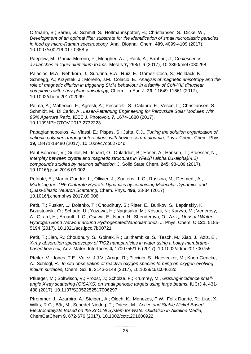Oßmann, B.; Sarau, G.; Schmitt, S.; Holtmannspötter, H.; Christiansen, S.; Dicke, W., *Development of an optimal filter substrate for the identification of small microplastic particles in food by micro-Raman spectroscopy,* Anal. Bioanal. Chem. **409,** 4099-4109 (2017), 10.1007/s00216-017-0358-y

Paeplow, M.; Garcia-Moreno, F.; Meagher, A.J.; Rack, A.; Banhart, J., *Coalescence avalanches in liquid aluminium foams,* Metals **7,** 298/1-6 (2017), 10.3390/met7080298

Palacios, M.A.; Nehrkorn, J.; Suturina, E.A.; Ruiz, E.; Gómez-Coca, S.; Holldack, K.; Schnegg, A.; Krzystek, J.; Moreno, J.M.; Colacio, E., *Analysis of magnetic anisotropy and the role of magnetic dilution in triggering SMM behaviour in a family of CoII-YIII dinuclear complexes with easy-plane anisotropy,* Chem. - a Eur. J. **23,** 11649-11661 (2017), 10.1002/chem.201702099

Palma, A.; Matteocci, F.; Agresti, A.; Pescetelli, S.; Calabrò, E.; Vesce, L.; Christiansen, S.; Schmidt, M.; Di Carlo, A., *Laser-Patterning Engineering for Perovskite Solar Modules With 95% Aperture Ratio,* IEEE J. Photovolt, **7,** 1674-1680 (2017), 10.1109/JPHOTOV.2017.2732223

Papagiannopoulos, A.; Vlassi, E.; Pispas, S.; Jafta, C.J., *Tuning the solution organization of cationic polymers through interactions with bovine serum albumin,* Phys. Chem. Chem. Phys. **19,** 18471-18480 (2017), 10.1039/c7cp02704d

Paul-Boncour, V.; Guillot, M.; Isnard, O.; Ouladdiaf, B.; Hoser, A.; Hansen, T.; Stuesser, N., *Interplay between crystal and magnetic structures in YFe2(H alpha D1-alpha)(4.2) compounds studied by neutron diffraction,* J. Solid State Chem. **245,** 98-109 (2017), 10.1016/j.jssc.2016.09.002

Pefoute, E.; Martin-Gondre, L.; Ollivier, J.; Soetens, J.-C.; Russina, M.; Desmedt, A., *Modeling the THF Clathrate Hydrate Dynamics by combining Molecular Dynamics and Quasi-Elastic Neutron Scattering,* Chem. Phys. **496,** 23-34 (2017), 10.1016/j.chemphys.2017.09.006

Petit, T.; Puskar, L.; Dolenko, T.; Choudhury, S.; Ritter, E.; Burikov, S.; Laptinskiy, K.; Brzustowski, Q.; Schade, U.; Yuzawa, H.; Nagasaka, M.; Kosugi, N.; Kurzyp, M.; Venerosy, A.; Girard, H.; Arnault, J.-C.; Osawa, E.; Nunn, N.; Shenderova, O.; Aziz,, *Unusual Water Hydrogen Bond Network around HydrogenatedNanodiamonds,* J. Phys. Chem. C **121,** 5185- 5194 (2017), 10.1021/acs.jpcc.7b00721

Petit, T.; Jian, R.; Choudhury, S.; Golnak, R.; Lalithambika, S.; Tesch, M.; Xiao, J.; Aziz, E., *X-ray absorption spectroscopy of TiO2 nanoparticles in water using a holey membranebased flow cell,* Adv. Mater. Interfaces **4,** 1700755/1-6 (2017), 10.1002/admi.201700755

Pfeifer, V.; Jones, T.E.; Velez, J.J.V.; Arrigo, R.; Piccinin, S.; Haevecker, M.; Knop-Gericke, A.; Schlögl, R., *In situ observation of reactive oxygen species forming on oxygen-evolving iridium surfaces,* Chem. Sci. **8,** 2143-2149 (2017), 10.1039/c6sc04622c

Pflueger, M.; Soltwisch, V.; Probst, J.; Scholze, F.; Krumrey, M., *Grazing-incidence smallangle X-ray scattering (GISAXS) on small periodic targets using large beams, IUCrJ 4, 431-*438 (2017), 10.1107/S2052252517006297

Pfrommer, J.; Azarpira, A.; Steigert, A.; Olech, K.; Menezes, P.W.; Felix Duarte, R.; Liao, X.; Wilks, R.G.; Bär, M.; Schedel-Niedrig, T.; Driess, M., *Active and Stable Nickel-Based Electrocatalysts Based on the ZnO:Ni System for Water Oxidation in Alkaline Media,*  ChemCatChem **9,** 672-676 (2017), 10.1002/cctc.201600922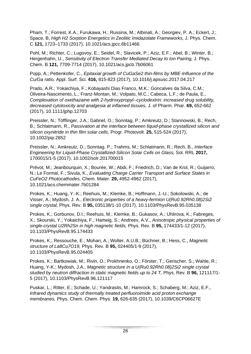Pham, T.; Forrest, K.A.; Furukawa, H.; Russina, M.; Albinati, A.; Georgiev, P. A.; Eckert, J.; Space, B, *High H2 Sorption Energetics in Zeolitic Imidazolate Frameworks,* J. Phys. Chem. C **121,** 1723–1733 (2017), 10.1021/acs.jpcc.6b11466

Pohl, M.; Richter, C.; Lugovoy, E.; Seidel, R.; Slavicek, P.; Aziz, E.F.; Abel, B.; Winter, B.; Hergenhahn, U., *Sensitivity of Electron Transfer Mediated Decay to Ion Pairing,* J. Phys. Chem. B **121,** 7709-7714 (2017), 10.1021/acs.jpcb.7b06061

Popp, A.; Pettenkofer, C., *Epitaxial growth of CuGaSe2 thin-films by MBE-Influence of the Cu/Ga ratio,* Appl. Surf. Sci. **416,** 815-823 (2017), 10.1016/j.apsusc.2017.04.217

Prado, A.R.; Yokaichiya, F.; Kobayashi Dias Franco, M.K.; Goncalves da Silva, C.M.; Oliveira-Nascimento, L.; Franz-Montan, M.; Volpato, M.C.; Cabeca, L.F.; de Paula, E., *Complexation of oxethazaine with 2-hydroxypropyl--cyclodextrin: increased drug solubility, decreased cytotoxicity and analgesia at inflamed tissues,* J. of Pharm. Phar. **69,** 652-662 (2017), 10.1111/jphp.12703

Preissler, N.; Töfflinger, J.A.; Gabriel, O.; Sonntag, P.; Amkreutz, D.; Stannowski, B.; Rech, B.; Schlatmann, R., *Passivation at the interface between liquid-phase crystallized silicon and silicon oxynitride in thin film solar cells,* Progr. Photovolt. **25,** 515-524 (2017), 10.1002/pip.2852

Preissler, N.; Amkreutz, D.; Sonntag, P.; Trahms, M.; Schlatmann, R.; Rech, B., *Interface Engineering for Liquid-Phase Crystallized-Silicon Solar Cells on Glass,* Sol. RRL **2017,**  1700015/1-5 (2017), 10.1002/solr.201700015

Prévot, M.; Jeanbourquin, X.; Bourée, W.; Abdi, F.; Friedrich, D.; Van de Krol, R.; Guijarro, N.; Le Formal, F.; Sivula, K., *Evaluating Charge Carrier Transport and Surface States in CuFeO2 Photocathodes,* Chem. Mater. **29,** 4952-4962 (2017), 10.1021/acs.chemmater.7b01284

Prokes, K.; Huang, Y.-K.; Reehuis, M.; Klemke, B.; Hoffmann, J.-U.; Sokolowski, A.; de Visser, A.; Mydosh, J. A., *Electronic properties of a heavy-fermion U(Ru0.92Rh0.08)2Si2 single crystal,* Phys. Rev. B **95,** 035138/1-10 (2017), 10.1103/PhysRevB.95.035138

Prokes, K.; Gorbunov, D.I.; Reehuis, M.; Klemke, B.; Gukasov, A.; Uhlirova, K.; Fabreges, X.; Skourski, Y.; Yokaichiya, F.; Hartwig, S.; Andreev, A.V., *Anisotropic physical properties of single-crystal U2Rh2Sn in high magnetic fields,* Phys. Rev. B **95,** 174433/1-12 (2017), 10.1103/PhysRevB.95.174433

Prokes, K.; Ressouche, E.; Mohan, A.; Wolter, A.U.B.; Büchner, B.; Hess, C., *Magnetic structure of La8Cu7O19,* Phys. Rev. B **95,** 024405/1-9 (2017), 10.1103/PhysRevB.95.024405

Prokes, K.; Bartkowiak, M.; Rivin, O.; Prokhnenko, O.; Förster, T.; Gerischer, S.; Wahle, R.; Huang, Y-K.; Mydosh, J.A., *Magnetic structure in a U(Ru0.92Rh0.08)2Si2 single crystal studied by neutron diffraction in static magnetic fields up to 24 T,* Phys. Rev. B **96,** 121117/1- 5 (2017), 10.1103/PhysRevB.96.121117

Puskar, L.; Ritter, E.; Schade, U.; Yandrasits, M.; Hamrock, S.; Schaberg, M.; Aziz, E.F., *Infrared dynamics study of thermally treated perfluoroimide acid proton exchange membranes,* Phys. Chem. Chem. Phys. **19,** 626-635 (2017), 10.1039/C6CP06627E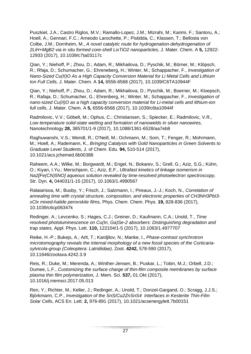Puszkiel, J.A.; Castro Riglos, M.V.; Ramallo-Lopez, J.M.; Mizrahi, M.; Karimi, F.; Santoru, A.; Hoell, A.; Gennari, F.C.; Arneodo Larochette, P.; Pistidda, C.; Klassen, T.; Bellosta von Colbe, J.M.; Dornheim, M., *A novel catalytic route for hydrogenation-dehydrogenation of 2LiH+MgB2 via in situ formed core-shell LixTiO2 nanoparticles,* J. Mater. Chem. A **5,** 12922- 12933 (2017), 10.1039/c7ta03117c

Qian, Y.; Niehoff, P.; Zhou, D.; Adam, R.; Mikhailova, D.; Pyschik, M.; Börner, M.; Klöpsch, R.; Rfaja, D.; Schumacher, G.; Ehreneberg, H.; Winter, M.; Schappacher, F., *Investigation of Nano-Sized Cu(II)O As a High Capacity Conversion Material for Li Metal Cells and Lithium Ion Full Cells,* J. Mater. Chem. A **14,** 6556-6568 (2017), 10.1039/C6TA10944F

Qian, Y.; Niehoff, P.; Zhou, D.; Adam, R.; Mikhailova, D.; Pyschik, M.; Boerner, M.; Kloepsch, R.; Rafaja, D.; Schumacher, G.; Ehrenberg, H.; Winter, M.; Schappacher, F., *Investigation of nano-sized Cu(II)O as a high capacity conversion material for Li-metal cells and lithium-ion full cells,* J. Mater. Chem. A **5,** 6556-6568 (2017), 10.1039/c6ta10944f

Radmilovic, V.V.; Göbelt, M.; Ophus, C.; Christiansen, S.; Spiecker, E.; Radmilovic, V.R., *Low temperature solid-state wetting and formation of nanowelds in silver nanowires,*  Nanotechnology **28,** 385701/1-9 (2017), 10.1088/1361-6528/aa7eb8

Raghuwanshi, V.S.; Wendt, R.; O'Neill, M.; Ochmann, M.; Som, T.; Fenger, R.; Mohrmann, M.; Hoell, A.; Rademann, K., *Bringing Catalysis with Gold Nanoparticles in Green Solvents to Graduate Level Students,* J. of Chem. Edu. **94,** 510-514 (2017), 10.1021/acs.jchemed.6b00388

Raheem, A.A.; Wilke, M.; Borgwardt, M.; Engel, N.; Bokarev, S.; Grell, G.; Aziz, S.G.; Kühn, O.; Kiyan, I.Yu.; Merschjann, C.; Aziz, E.F., *Ultrafast kinetics of linkage isomerism in Na2[Fe(CN)5NO] aqueous solution revealed by time-resolved photoelectron spectroscopy,*  Str. Dyn. **4,** 044031/1-15 (2017), 10.1063/1.4990567

Ralaiarisoa, M.; Busby, Y.; Frisch, J.; Salzmann, I.; Pireaux, J.-J.; Koch, N., *Correlation of annealing time with crystal structure, composition, and electronic properties of CH3NH3PbI3 xClx mixed-halide perovskite films,* Phys. Chem. Chem. Phys. **19,** 828-836 (2017), 10.1039/c6cp06347k

Redinger, A.; Levcenko, S.; Hages, C.J.; Greiner, D.; Kaufmann, C.A.; Unold, T., *Time resolved photoluminescence on Cu(In, Ga)Se-2 absorbers: Distinguishing degradation and trap states,* Appl. Phys. Lett. **110,** 122104/1-5 (2017), 10.1063/1.4977707

Reike, H.-P.; Bukejs, A.; Arlt, T.; Kardjilov, N.; Manke, I., *Phase-contrast synchrotron microtomography reveals the internal morphology of a new fossil species of the Corticariasylvicola-group (Coleoptera: Latridiidae),* Zoot. **4242,** 578-590 (2017), 10.11646/zootaxa.4242.3.9

Reis, R.; Duke, M.; Merenda, A.; Winther-Jensen, B.; Puskar, L.; Tobin, M.J.; Orbell, J.D.; Dumee, L.F., *Customizing the surface charge of thin-film composite membranes by surface plasma thin film polymerization,* J. Mem. Sci. **537,** 01.Okt (2017), 10.1016/j.memsci.2017.05.013

Ren, Y.; Richter, M.; Keller, J.; Redinger, A.; Unold, T.; Donzel-Gargand, O.; Scragg, J.J.S.; Björkmann, C.P., *Investigation of the SnS/Cu2ZnSnS4 Interfaces in Kesterite Thin-Film Solar Cells,* ACS En. Lett. **2,** 976-891 (2017), 10.1021/acsenergylett.7b00151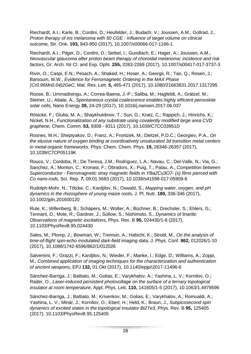Riechardt, A.I.; Karle, B.; Cordini, D.; Heufelder, J.; Budach, V.; Joussen, A.M.; Gollrad, J., *Proton therapy of iris melanoma with 50 CGE : Influence of target volume on clinical outcome,* Str. Onk. **193,** 943-950 (2017), 10.1007/s00066-017-1166-1

Riechardt, A.I.; Pilger, D.; Cordini, D.; Seibel, I.; Gundlach, E.; Hager, A.; Joussen, A.M., *Neovascular glaucoma after proton beam therapy of choroidal melanoma: incidence and risk factors,* Gr. Arch. for Cl. and Exp. Opht. **255,** 2263-2269 (2017), 10.1007/s00417-017-3737-3

Rivin, O.; Caspi, E.N.; Pesach, A.; Shaked, H.; Hoser, A.; Georgii, R.; Tao, Q.; Rosen, J.; Barsoum, M.W., *Evidence for Ferromagnetic Ordering in the MAX Phase (Cr0.96Mn0.04)2GeC,* Mat. Res. Lett. **5,** 465-471 (2017), 10.1080/21663831.2017.1317295

Roose, B.; Ummadisingu, A.; Correa-Baena, J.-P.; Saliba, M.; Hagfeldt, A.; Grätzel, M.; Steiner, U.; Abate, A., *Spontaneous crystal coalescence enables highly efficient perovskite solar cells,* Nano Energy **39,** 24-29 (2017), 10.1016/j.nanoen.2017.06.037

Rösicke, F.; Gluba, M. A.; Shaykhutdinov, T.; Sun, G.; Kratz, C.; Rappich, J.; Hinrichs, K.; Nickel, N.H., *Functionalization of any substrate using covalently modified large area CVD graphene,* Chem. Comm. **53,** 9308 - 9311 (2017), 10.1039/C7CC03951D

Rosnes, M.H.; Sheptyakov, D.; Franz, A.; Frontzek, M.; Dietzel, P.D.C.; Georgiev, P.A., *On the elusive nature of oxygen binding at coordinatively unsaturated 3d transition metal centers in metal-organic frameworks,* Phys. Chem. Chem. Phys. **19,** 26346-26357 (2017), 10.1039/C7CP05119K

Rouco, V.; Cordoba, R.; De Teresa, J.M.; Rodriguez, L.A.; Navau, C.; Del-Valle, N.; Via, G.; Sanchez, A.; Monton, C.; Kronast, F.; Obradors, X.; Puig, T.; Palau, A., *Competition between Superconductor - Ferromagnetic stray magnetic fields in YBa2Cu3O7- (x) films pierced with Co nano-rods,* Sci. Rep. **7,** 09.01.5663 (2017), 10.1038/s41598-017-05909-6

Rudolph-Mohr, N.; Tötzke, C.; Kardjilov, N.; Oswald, S., *Mapping water, oxygen, and pH dynamics in the rhizosphere of young maize roots,* J. Pl. Nutr. **180,** 336-346 (2017), 10.1002/jpln.201600120

Rule, K.; Willenberg, B.; Schäpers, M.; Wolter, A.; Büchner, B.; Drechsler, S.; Ehlers, G.; Tennant, D.; Mole, R.; Gardner, J.; Süllow, S.; Nishimoto, S., *Dynamics of linarite: Observations of magnetic excitations,* Phys. Rev. B **95,** 024430/1-6 (2017), 10.1103/PhysRevB.95.024430

Sales, M.; Plomp, J.; Bowman, W.; Tremsin, A.; Habicht, K.; Strobl, M., *On the analysis of time-of-flight spin-echo modulated dark-field imaging data,* J. Phys. Conf. **862,** 012026/1-10 (2017), 10.1088/1742-6596/862/1/012026

Salvemini, F.; Grazzi, F.; Kardjilov, N.; Wieder, F.; Manke, I.; Edge, D.; Williams, A.; Zoppi, M., *Combined application of imaging techniques for the characterization and authentication of ancient weapons,* EPJ **132,** 01.Okt (2017), 10.1140/epjp/i2017-11496-6

Sánchez-Barriga, J.; Battiato, M.; Golias, E.; Varykhalov, A.; Yashina, L. V.; Kornilov, O.; Rader, O., *Laser-induced persistent photovoltage on the surface of a ternary topological insulator at room temperature,* Appl. Phys. Lett. **110,** 141605/1-5 (2017), 10.1063/1.4979596

Sánchez-Barriga, J.; Battiato, M.; Krivenkov, M.; Golias, E.; Varykhalov, A.; Romualdi, A.; Yashina, L. V.; Minár, J.; Kornilov, O.; Ebert, H.; Held, K.; Braun, J., *Subpicosecond spin dynamics of excited states in the topological insulator Bi2Te3,* Phys. Rev. B **95,** 125405 (2017), 10.1103/PhysRevB.95.125405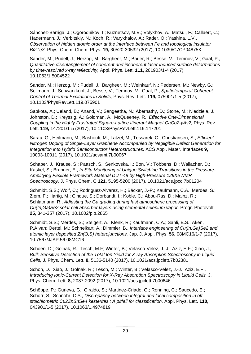Sánchez-Barriga, J.; Ogorodnikov, I.; Kuznetsov, M.V.; Volykhov, A.; Matsui, F.; Callaert, C.; Hadermann, J.; Verbitskiy, N.; Koch, R.; Varykhalov, A.; Rader, O.; Yashina, L.V., *Observation of hidden atomic order at the interface between Fe and topological insulator Bi2Te3,* Phys. Chem. Chem. Phys. **19,** 30520-30532 (2017), 10.1039/C7CP04875K

Sander, M.; Pudell, J.; Herzog, M.; Bargheer, M.; Bauer, R.; Besse, V.; Temnov, V.; Gaal, P., *Quantitative disentanglement of coherent and incoherent laser-induced surface deformations by time-resolved x-ray reflectivity,* Appl. Phys. Lett. **111,** 261903/1-4 (2017), 10.1063/1.5004522

Sander, M.; Herzog, M.; Pudell, J.; Bargheer, M.; Weinkauf, N.; Pedersen, M.; Newby, G.; Sellmann, J.; Schwarzkopf, J.; Besse, V.; Temnov, V.; Gaal, P., *Spatiotemporal Coherent Control of Thermal Excitations in Solids,* Phys. Rev. Lett. **119,** 075901/1-5 (2017), 10.1103/PhysRevLett.119.075901

Sapkota, A.; Ueland, B.; Anand, V.; Sangeetha, N.; Abernathy, D.; Stone, M.; Niedziela, J.; Johnston, D.; Kreyssig, A.; Goldman, A.; McQueeney, R., *Effective One-Dimensional Coupling in the Highly Frustrated Square-Lattice Itinerant Magnet CaCo2-yAs2,* Phys. Rev. Lett. **119,** 147201/1-5 (2017), 10.1103/PhysRevLett.119.147201

Sarau, G.; Heilmann, M.; Bashouti, M.; Latzel, M.; Tessarek, C.; Christiansen, S., *Efficient Nitrogen Doping of Single-Layer Graphene Accompanied by Negligible Defect Generation for Integration into Hybrid Semiconductor Heterostructures,* ACS Appl. Mater. Interfaces **9,**  10003-10011 (2017), 10.1021/acsami.7b00067

Schaber, J.; Krause, S.; Paasch, S.; Senkovska, I.; Bon, V.; Többens, D.; Wallacher, D.; Kaskel, S.; Brunner, E., *In Situ Monitoring of Unique Switching Transitions in the Pressure-Amplifying Flexible Framework Material DUT-49 by High-Pressure 129Xe NMR Spectroscopy,* J. Phys. Chem. C **121,** 5195-5200 (2017), 10.1021/acs.jpcc.7b01204

Schmidt, S.S.; Wolf, C.; Rodriguez-Alvarez, H.; Bäcker, J.-P.; Kaufmann, C.A.; Merdes, S.; Ziem, F.; Hartig, M.; Cinque, S.; Dorbandt, I.; Köble, C.; Abou-Ras, D.; Mainz, R.; Schlatmann, R., *Adjusting the Ga grading during fast atmospheric processing of Cu(In,Ga)Se2 solar cell absorber layers using elemental selenium vapor,* Progr. Photovolt. **25,** 341-357 (2017), 10.1002/pip.2865

Schmidt, S.S.; Merdes, S.; Steigert, A.; Klenk, R.; Kaufmann, C.A.; Sanli, E.S.; Aken, P.A.van; Oertel, M.; Schneikart, A.; Dimmler, B., *Interface engineering of Cu(In,Ga)Se2 and atomic layer deposited Zn(O,S) heterojunctions,* Jap. J. Appl. Phys. **56,** 08MC16/1-7 (2017), 10.7567/JJAP.56.08MC16

Schoen, D.; Golnak, R.; Tesch, M.F; Winter, B.; Velasco-Velez, J.-J.; Aziz, E.F.; Xiao, J., *Bulk-Sensitive Detection of the Total Ion Yield for X-ray Absorption Spectroscopy in Liquid Cells,* J. Phys. Chem. Lett. **8,** 5136-5140 (2017), 10.1021/acs.jpclett.7b02381

Schön, D.; Xiao, J.; Golnak, R.; Tesch, M.; Winter, B.; Velasco-Velez, J.-J.; Aziz, E.F., *Introducing Ionic-Current Detection for X-Ray Absorption Spectroscopy in Liquid Cells,* J. Phys. Chem. Lett. **8,** 2087-2092 (2017), 10.1021/acs.jpclett.7b00646

Schöppe, P.; Gurieva, G.; Giraldo, S.; Martinez-Criado, G.; Ronning, C.; Saucedo, E.; Schorr, S.; Schnohr, C.S., *Discrepancy between integral and local composition in offstoichiometric Cu2ZnSnSe4 kesterites : A pitfall for classification,* Appl. Phys. Lett. **110,**  043901/1-5 (2017), 10.1063/1.4974819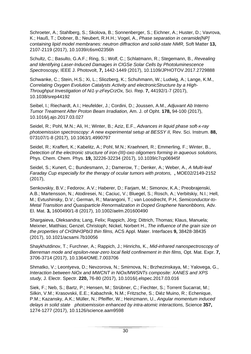Schroeter, A.; Stahlberg, S.; Skolova, B.; Sonnenberger, S.; Eichner, A.; Huster, D.; Vavrova, K.; Hauß, T.; Dobner, B.; Neubert, R.H.H.; Vogel, A., *Phase separation in ceramide[NP] containing lipid model membranes: neutron diffraction and solid-state NMR,* Soft Matter **13,**  2107-2119 (2017), 10.1039/c6sm02356h

Schultz, C.; Basulto, G.A.F.; Ring, S.; Wolf, C.; Schlatmann, R.; Stegemann, B., *Revealing and Identifying Laser-Induced Damages in CIGSe Solar Cells by Photoluminescence Spectroscopy,* IEEE J. Photovolt, **7,** 1442-1449 (2017), 10.1109/JPHOTOV.2017.2729888

Schwanke, C.; Stein, H.S.; Xi, L.; Sliozberg, K.; Schuhmann, W.; Ludwig, A.; Lange, K.M., *Correlating Oxygen Evolution Catalysts Activity and electronicStructure by a High-Throughput Investigation of Ni1-y-zFeyCrzOx,* Sci. Rep. **7,** 44192/1-7 (2017), 10.1038/srep44192

Seibel, I.; Riechardt, A.I.; Heufelder, J.; Cordini, D.; Joussen, A.M., *Adjuvant Ab Interno Tumor Treatment After Proton Beam Irradiation,* Am. J. of Opht. **178,** 94-100 (2017), 10.1016/j.ajo.2017.03.027

Seidel, R.; Pohl, M.N.; Ali, H.; Winter, B.; Aziz, E.F., *Advances in liquid phase soft-x-ray photoemission spectroscopy: A new experimental setup at BESSY II,* Rev. Sci. Instrum. **88,**  073107/1-8 (2017), 10.1063/1.4990797

Seidel, R.; Kraffert, K.; Kabelitz, A.; Pohl, M.N.; Kraehnert, R.; Emmerling, F.; Winter, B., *Detection of the electronic structure of iron-(III)-oxo oligomers forming in aqueous solutions,*  Phys. Chem. Chem. Phys. **19,** 32226-32234 (2017), 10.1039/c7cp06945f

Seidel, S.; Kunert, C.; Bundesmann, J.; Damerow, T.; Denker, A.; Weber, A., *A Multi-leaf Faraday Cup especially for the therapy of ocular tumors with protons,* **,** MOE02/2149-2152 (2017),

Senkovskiy, B.V.; Fedorov, A.V.; Haberer, D.; Farjam, M.; Simonov, K.A.; Preobrajenski, A.B.; Martensson, N.; Atodiresei, N.; Caciuc, V.; Bluegel, S.; Rosch, A.; Verbitskiy, N.I.; Hell, M.; Evtushinsky, D.V.; German, R.; Marangoni, T.; van Loosdrecht, P.H, *Semiconductor-to-Metal Transition and Quasiparticle Renormalization in Doped Graphene Nanoribbons,* Adv. El. Mat. **3,** 1600490/1-8 (2017), 10.1002/aelm.201600490

Shargaieva, Oleksandra; Lang, Felix; Rappich, Jörg; Dittrich, Thomas; Klaus, Manuela; Meixner, Matthias; Genzel, Christoph; Nickel, Norbert H., *The influence of the grain size on the properties of CH3NH3PbI3 thin films,* ACS Appl. Mater. Interfaces **9,** 38428-38435 (2017), 10.1021/acsami.7b10056

Shaykhutdinov, T.; Furchner, A.; Rappich, J.; Hinrichs, K., *Mid-infrared nanospectroscopy of Berreman mode and epsilon-near-zero local field confinement in thin films,* Opt. Mat. Expr. **7,**  3706-3714 (2017), 10.1364/OME.7.003706

Shmatko, V.; Leontyeva, D.; Nevzorova, N.; Smirnova, N.; Brzhezinskaya, M.; Yalovega, G., *Interaction between NiOx and MWCNT in NiOx/MWSNTs composite: XANES and XPS study,* J. Electr. Spectr. **220,** 76-80 (2017), 10.1016/j.elspec.2017.03.016

Siek, F.; Neb, S.; Bartz, P.; Hensen, M.; Strübner, C.; Fiechter, S.; Torrent Sucarrat, M.; Silkin, V.M.; Krasovskii, E.E.; Kabachnik, N.M.; Fritzsche, S.; Diéz Muino, R.; Echenique, P.M.; Kazansky, A.K.; Müller, N.; Pfeiffer, W.; Heinzmann, U., *Angular momentum induced delays in solid state photoemission enhanced by intra-atomic interactions,* Science **357,**  1274-1277 (2017), 10.1126/science.aam9598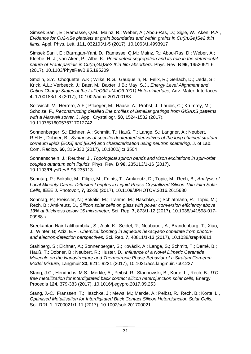Simsek Sanli, E.; Ramasse, Q.M.; Mainz, R.; Weber, A.; Abou-Ras, D.; Sigle, W.; Aken, P.A., *Evidence for Cu2-xSe platelets at grain boundaries and within grains in Cu(In,Ga)Se2 thin films,* Appl. Phys. Lett. **111,** 032103/1-5 (2017), 10.1063/1.4993917

Simsek Sanli, E.; Barragan-Yani, D.; Ramasse, Q.M.; Mainz, R.; Abou-Ras, D.; Weber, A.; Kleebe, H.-J.; van Aken, P.; Albe, K., *Point defect segregation and its role in the detrimental nature of Frank partials in Cu(In,Ga)Se2 thin-film absorbers,* Phys. Rev. B **95,** 195209/1-6 (2017), 10.1103/PhysRevB.95.195209

Smolin, S.Y.; Choquette, A.K.; Wilks, R.G.; Gauquelin, N.; Felix, R.; Gerlach, D.; Ueda, S.; Krick, A.L.; Verbeeck, J.; Baer, M.; Baxter, J.B.; May, S.J., *Energy Level Alignment and Cation Charge States at the LaFeO3/LaMnO3 (001) Heterointerface,* Adv. Mater. Interfaces **4,** 1700183/1-8 (2017), 10.1002/admi.201700183

Soltwisch, V.; Herrero, A.F.; Pflueger, M.; Haase, A.; Probst, J.; Laubis, C.; Krumrey, M.; Scholze, F., *Reconstructing detailed line profiles of lamellar gratings from GISAXS patterns with a Maxwell solver,* J. Appl. Crystallogr. **50,** 1524-1532 (2017), 10.1107/S1600576717012742

Sonnenberger, S.; Eichner, A.; Schmitt, T.; Hauß, T.; Lange, S.; Langner, A.; Neubert, R.H.H.; Dobner, B., *Synthesis of specific deuterated derivatives of the long chained stratum corneum lipids [EOS] and [EOP] and characterization using neutron scattering,* J. of Lab. Com. Radiop. **60,** 316-330 (2017), 10.1002/jlcr.3504

Sonnenschein, J.; Reuther, J., *Topological spinon bands and vison excitations in spin-orbit coupled quantum spin liquids,* Phys. Rev. B **96,** 235113/1-16 (2017), 10.1103/PhysRevB.96.235113

Sonntag, P.; Bokalic, M.; Filipic, M.; Frijnts, T.; Amkreutz, D.; Topic, M.; Rech, B., *Analysis of Local Minority Carrier Diffusion Lengths in Liquid-Phase Crystallized Silicon Thin-Film Solar Cells,* IEEE J. Photovolt, **7,** 32-36 (2017), 10.1109/JPHOTOV.2016.2615680

Sonntag, P.; Preissler, N.; Bokalic, M.; Trahms, M.; Haschke, J.; Schlatmann, R.; Topic, M.; Rech, B.; Amkreutz, D., *Silicon solar cells on glass with power conversion efficiency above 13% at thickness below 15 micrometer,* Sci. Rep. **7,** 873/1-12 (2017), 10.1038/s41598-017- 00988-x

Sreekantan Nair Lalithambika, S.; Atak, K.; Seidel, R.; Neubauer, A.; Brandenburg, T.; Xiao, J.; Winter, B; Aziz, E.F., *Chemical bonding in aqueous hexacyano cobaltate from photonand electron-detection perspectives,* Sci. Rep. **7,** 40811/1-13 (2017), 10.1038/srep40811

Stahlberg, S.; Eichner, A.; Sonnenberger, S.; Kovácik, A.; Lange, S.; Schmitt, T.; Demé, B.; Hauß, T.; Dobner, B.; Neubert, R.; Huster, D., *Influence of a Novel Dimeric Ceramide Molecule on the Nanostructure and Thermotropic Phase Behavior of a Stratum Corneum Model Mixture,* Langmuir **33,** 9211-9221 (2017), 10.1021/acs.langmuir.7b01227

Stang, J.C.; Hendrichs, M.S.; Merkle, A.; Peibst, R.; Stannowski, B.; Korte, L.; Rech, B., *ITOfree metallization for interdigitated back contact silicon heterojunction solar cells,* Energy Procedia **124,** 379-383 (2017), 10.1016/j.egypro.2017.09.253

Stang, J.-C.; Franssen, T.; Haschke, J.; Mews, M.; Merkle, A.; Peibst, R.; Rech, B.; Korte, L., *Optimised Metallisation for Interdigitated Back Contact Silicon Heterojunction Solar Cells,*  Sol. RRL **1,** 1700021/1-11 (2017), 10.1002/solr.201700021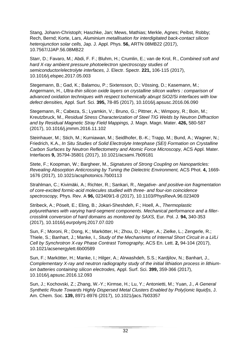Stang, Johann-Christoph; Haschke, Jan; Mews, Mathias; Merkle, Agnes; Peibst, Robby; Rech, Bernd; Korte, Lars, *Aluminium metallisation for interdigitated back-contact silicon heterojunction solar cells,* Jap. J. Appl. Phys. **56,** ARTN 08MB22 (2017), 10.7567/JJAP.56.08MB22

Starr, D.; Favaro, M.; Abdi, F. F.; Bluhm, H.; Crumlin, E.; van de Krol, R., *Combined soft and hard X-ray ambient pressure photoelectron spectroscopy studies of semiconductor/electrolyte interfaces,* J. Electr. Spectr. **221,** 106-115 (2017), 10.1016/j.elspec.2017.05.003

Stegemann, B.; Gad, K.; Balamou, P.; Sixtensson, D.; Vössing, D.; Kasemann, M.; Angermann, H., *Ultra-thin silicon oxide layers on crystalline silicon wafers : comparison of advanced oxidation techniques with respect tochemically abrupt SiO2/Si interfaces with low defect densities,* Appl. Surf. Sci. **395,** 78-85 (2017), 10.1016/j.apsusc.2016.06.090

Stegemann, R.; Cabeza, S.; Lyamkin, V.; Bruno, G.; Pittner, A.; Wimpory, R.; Boin, M.; Kreutzbruck, M., *Residual Stress Characterization of Steel TIG Welds by Neutron Diffraction and by Residual Magnetic Stray Field Mappings,* J. Magn. Magn. Mater. **426,** 580-587 (2017), 10.1016/j.jmmm.2016.11.102

Steinhauer, M.; Stich, M.; Kurniawan, M.; Seidlhofer, B.-K.; Trapp, M.; Bund, A.; Wagner, N.; Friedrich, K.A., *In Situ Studies of Solid Electrolyte Interphase (SEI) Formation on Crystalline Carbon Surfaces by Neutron Reflectometry and Atomic Force Microscopy,* ACS Appl. Mater. Interfaces **9,** 35794-35801 (2017), 10.1021/acsami.7b09181

Stete, F.; Koopman, W.; Bargheer, M., *Signatures of Strong Coupling on Nanoparticles: Revealing Absorption Anticrossing by Tuning the Dielectric Environment,* ACS Phot. **4,** 1669- 1676 (2017), 10.1021/acsphotonics.7b00113

Strahlman, C.; Kivimäki, A.; Richter, R.; Sankari, R., *Negative- and positive-ion fragmentation of core-excited formic-acid molecules studied with three- and four-ion coincidence spectroscopy,* Phys. Rev. A **96,** 023409/1-8 (2017), 10.1103/PhysRevA.96.023409

Stribeck, A.; Pöselt, E.; Eling, B.; Jokari-Sheshdeh, F.; Hoell, A., *Thermoplastic polyurethanes with varying hard-segment components. Mechanical performance and a fillercrosslink conversion of hard domains as monitored by SAXS,* Eur. Pol. J. **94,** 340-353 (2017), 10.1016/j.eurpolymj.2017.07.020

Sun, F.; Moroni, R.; Dong, K.; Markötter, H.; Zhou, D.; Hilger, A.; Zielke, L.; Zengerle, R.; Thiele, S.; Banhart, J.; Manke, I., *Study of the Mechanisms of Internal Short Circuit in a Li/Li Cell by Synchrotron X-ray Phase Contrast Tomography,* ACS En. Lett. **2,** 94-104 (2017), 10.1021/acsenergylett.6b00589

Sun, F.; Markötter, H.; Manke, I.; Hilger, A.; Alrwashdeh, S.S.; Kardjilov, N.; Banhart, J., *Complementary X-ray and neutron radiography study of the initial lithiation process in lithiumion batteries containing silicon electrodes,* Appl. Surf. Sci. **399,** 359-366 (2017), 10.1016/j.apsusc.2016.12.093

Sun, J.; Kochovski, Z.; Zhang, W.-Y.; Kirmse, H.; Lu, Y.; Antonietti, M.; Yuan, J., *A General Synthetic Route Towards Highly Dispersed Metal Clusters Enabled by Poly(ionic liquid)s,* J. Am. Chem. Soc. **139,** 8971-8976 (2017), 10.1021/jacs.7b03357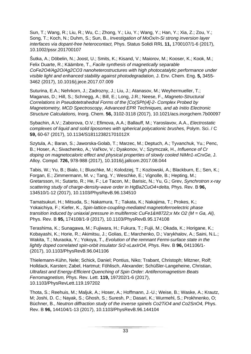Sun, T.; Wang, R.; Liu, R.; Wu, C.; Zhong, Y.; Liu, Y.; Wang, Y.; Han, Y.; Xia, Z.; Zou, Y.; Song, T.; Koch, N.; Duhm, S.; Sun, B., *Investigation of MoOx/n-Si strong inversion layer interfaces via dopant-free heterocontact,* Phys. Status Solidi RRL **11,** 1700107/1-6 (2017), 10.1002/pssr.201700107

Šutka, A.; Döbelin, N.; Joost, U.; Smits, K.; Kisand, V.; Maiorov, M.; Kooser, K.; Kook, M.; Felix Duarte, R.; Käämbre, T., *Facile synthesis of magnetically separable CoFe2O4/Ag2O/Ag2CO3 nanoheterostructures with high photocatalytic performance under visible light and enhanced stability against photodegradation,* J. Env. Chem. Eng. **5,** 3455- 3462 (2017), 10.1016/j.jece.2017.07.009

Suturina, E.A.; Nehrkorn, J.; Zadrozny, J.; Liu, J.; Atanasov, M.; Weyhermueller, T.; Maganas, D.; Hill, S.; Schnegg, A.; Bill, E.; Long, J.R.; Neese, F., *Magneto-Structural Correlations in Pseudotetrahedral Forms of the [Co(SPh)4]-2- Complex Probed by Magnetometry, MCD Spectroscopy, Advanced EPR Techniques, and ab Initio Electronic Structure Calculations,* Inorg. Chem. **56,** 3102-3118 (2017), 10.1021/acs.inorgchem.7b00097

Sybachin, A.V.; Zaborova, O.V.; Efimova, A.A.; Ballauff, M.; Yaroslavov, A.A., *Electrostatic complexes of liquid and solid liposomes with spherical polycationic brushes,* Polym. Sci. / C **59,** 60-67 (2017), 10.1134/S181123821701012X

Szytula, A.; Baran, S.; Jaworska-Golab, T.; Marzec, M.; Deptuch, A.; Tyvanchuk, Yu.; Penc, B.; Hoser, A.; Sivachenko, A.; Val'kov, V.; Dyakonov, V.; Szymczak, H., *Influence of Cr doping on magnetocaloric effect and physical properties of slowly cooled NiMn1-xCrxGe,* J. Alloy. Compd. **726,** 978-988 (2017), 10.1016/j.jallcom.2017.08.044

Tabis, W.; Yu, B.; Bialo, I.; Bluschke, M.; Kolodziej, T.; Kozlowski, A.; Blackburn, E.; Sen, K.; Forgan, E.; Zimmermann, M. v.; Tang, Y.; Weschke, E.; Vignolle, B.; Hepting, M.; Gretarsson, H.; Sutarto, R.; He, F.; Le Tacon, M.; Barisic, N.; Yu, G.; Grev, *Synchrotron x-ray scattering study of charge-density-wave order in HgBa2CuO4+delta,* Phys. Rev. B **96,**  134510/1-12 (2017), 10.1103/PhysRevB.96.134510

Tamatsukuri, H.; Mitsuda, S.; Nakamura, T.; Takata, K.; Nakajima, T.; Prokes, K.; Yokaichiya, F.; Kiefer, K., *Spin-lattice-coupling-mediated magnetoferroelectric phase transition induced by uniaxial pressure in multiferroic CuFe1−x Mx O2 (M = Ga, Al),* Phys. Rev. B **95,** 174108/1-9 (2017), 10.1103/PhysRevB.95.174108

Terashima, K.; Sunagawa, M.; Fujiwara, H.; Fukura, T.; Fujii, M.; Okada, K.; Horigane, K.; Kobayashi, K.; Horie, R.; Akimitsu, J.; Golias, E.; Marchenko, D.; Varykhalov, A.; Saini, N.L.; Wakita, T.; Muraoka, Y.; Yokoya, T., *Evolution of the remnant Fermi-surface state in the lightly doped correlated spin-orbit insulator Sr2-xLaxIrO4,* Phys. Rev. B **96,** 041106/1- (2017), 10.1103/PhysRevB.96.041106

Thielemann-Kühn, Nele; Schick, Daniel; Pontius, Niko; Trabant, Christoph; Mitzner, Rolf; Holldack, Karsten; Zabel, Hartmut; Föhlisch, Alexander; Schüßler-Langeheine, Christian, *Ultrafast and Energy-Efficient Quenching of Spin Order: Antiferromagnetism Beats Ferromagnetism,* Phys. Rev. Lett. **119,** 197202/1-6 (2017), 10.1103/PhysRevLett.119.197202

Thota, S.; Reehuis, M.; Maljuk, A.; Hoser, A.; Hoffmann, J.-U.; Weise, B.; Waske, A.; Krautz, M; Joshi, D. C.; Nayak, S.; Ghosh, S.; Suresh, P.; Dasari, K.; Wurmehl, S.; Prokhnenko, O; Büchner, B., *Neutron diffraction study of the inverse spinels Co2TiO4 and Co2SnO4*, Phys. Rev. B **96,** 144104/1-13 (2017), 10.1103/PhysRevB.96.144104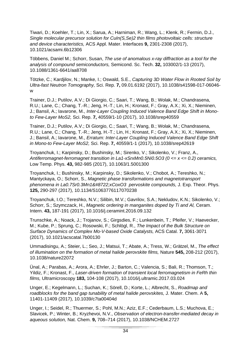Tiwari, D.; Koehler, T.; Lin, X.; Sarua, A.; Harniman, R.; Wang, L.; Klenk, R.; Fermin, D.J., *Single molecular precursor solution for CuIn(S,Se)2 thin films photovoltaic cells: structure and device characteristics,* ACS Appl. Mater. Interfaces **9,** 2301-2308 (2017), 10.1021/acsami.6b12306

Többens, Daniel M.; Schorr, Susan, *The use of anomalous x-ray diffraction as a tool for the analysis of compound semiconductors,* Semicond. Sc. Tech. **32,** 103002/1-13 (2017), 10.1088/1361-6641/aa8708

Tötzke, C.; Kardjilov, N.; Manke, I.; Oswald, S.E., *Capturing 3D Water Flow in Rooted Soil by Ultra-fast Neutron Tomography,* Sci. Rep. **7,** 09.01.6192 (2017), 10.1038/s41598-017-06046 w

Trainer, D.J.; Putilov, A.V.; Di Giorgio, C.; Saari, T.; Wang, B.; Wolak, M.; Chandrasena, R.U.; Lane, C.; Chang, T.-R.; Jeng, H.-T.; Lin, H.; Kronast, F.; Gray, A.X.; Xi, X.; Nieminen, J.; Bansil, A.; Iavarone, M., *Inter-Layer Coupling Induced Valence Band Edge Shift in Monoto Few-Layer MoS2,* Sci. Rep. **7,** 40559/1-10 (2017), 10.1038/srep40559

Trainer, D.J.; Putilov, A.V.; Di Giorgio, C.; Saari, T.; Wang, B.; Wolak, M.; Chandrasena, R.U.; Lane, C.; Chang, T.-R.; Jeng, H.-T.; Lin, H.; Kronast, F.; Gray, A.X.; Xi, X.; Nieminen, J.; Bansil, A.; Iavarone, M., *Erratum: Inter-Layer Coupling Induced Valence Band Edge Shift in Mono-to Few-Layer MoS2,* Sci. Rep. **7,** 40559/1-1 (2017), 10.1038/srep42619

Troyanchuk, I.; Karpinsky, D.; Bushinsky, M.; Sirenko, V.; Sikolenko, V.; Franz, A., *Antiferromagnet-ferromagnet transition in La1-xSrxMn0.5Ni0.5O3 (0 <= x <= 0.2) ceramics,*  Low Temp. Phys. **43,** 982-985 (2017), 10.1063/1.5001300

Troyanchuk, I.; Bushinsky, M.; Karpinsky, D.; Sikolenko, V.; Chobot, A.; Tereshko, N.; Mantyckaya, O.; Schorr, S., *Magnetic phase transformations and magnetotransport*  phenomena in La0.7Sr0.3Mn1−xCoxO3 pervoskite compounds, J. Exp. Theor. Phys. **125,** 290-297 (2017), 10.1134/S1063776117070238

Troyanchuk, I.O.; Tereshko, N.V.; Silibin, M.V.; Gavrilov, S.A.; Nekludov, K.N.; Sikolenko, V.; Schorr, S.; Szymczack, H., *Magnetic ordering in manganites doped by Ti and Al,* Ceram. Intern. **43,** 187-191 (2017), 10.1016/j.ceramint.2016.09.132

Trunschke, A.; Noack, J.; Trojanov, S.; Girgsdies, F.; Lunkenbein, T.; Pfeifer, V.; Haevecker, M.; Kube, P.; Sprung, C.; Rosowski, F.; Schlögl, R., *The Impact of the Bulk Structure on Surface Dynamics of Complex Mo-V-based Oxide Catalysts,* ACS Catal. **7,** 3061-3071 (2017), 10.1021/acscatal.7b00130

Ummadisingu, A.; Steier, L.; Seo, J.; Matsui, T.; Abate, A.; Tress, W.; Grätzel, M., *The effect of illumination on the formation of metal halide perovskite films,* Nature **545,** 208-212 (2017), 10.1038/nature22072

Ünal, A.; Parabas, A.; Arora, A.; Ehrler, J.; Barton, C.; Valencia, S.; Bali, R.; Thomson, T.; Yildiz, F.; Kronast, F., *Laser-driven formation of transient local ferromagnetism in FeRh thin films,* Ultramicroscopy **183,** 104-108 (2017), 10.1016/j.ultramic.2017.03.024

Unger, E.; Kegelmann, L.; Suchan, K.; Sörell, D.; Korte, L.; Albrecht, S., *Roadmap and roadblocks for the band gap tunability of metal halide perovskites, J. Mater. Chem. A 5,* 11401-11409 (2017), 10.1039/c7ta00404d

Unger, I.; Seidel, R.; Thuermer, S.; Pohl, M.N.; Aziz, E.F.; Cederbaum, L.S.; Muchova, E.; Slavicek, P.; Winter, B.; Kryzhevoi, N.V., *Observation of electron-transfer-mediated decay in aqueous solution,* Nat. Chem. **9,** 708–714 (2017), 10.1038/NCHEM.2727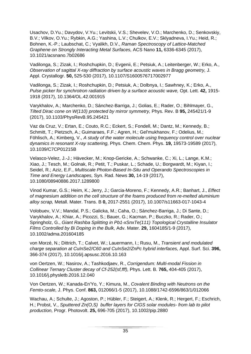Usachov, D.Yu.; Davydov, V.Yu.; Levitskii, V.S.; Shevelev, V.O.; Marchenko, D.; Senkovskiy, B.V.; Vilkov, O.Yu.; Rybkin, A.G.; Yashina, L.V.; Chulkov, E.V.; Sklyadneva, I.Yu.; Heid, R.; Bohnen, K.-P.; Laubschat, C.; Vyalikh, D.V., *Raman Spectroscopy of Lattice-Matched Graphene on Strongly Interacting Metal Surfaces,* ACS Nano **11,** 6336-6345 (2017), 10.1021/acsnano.7b02686

Vadilonga, S.; Zizak, I.; Roshchupkin, D.; Evgenii, E.; Petsiuk, A.; Leitenberger, W.; Erko, A., *Observation of sagittal X-ray diffraction by surface acoustic waves in Bragg geometry,* J. Appl. Crystallogr. **50,** 525-530 (2017), 10.1107/S1600576717002977

Vadilonga, S.; Zizak, I.; Roshchupkin, D.; Petsiuk, A.; Dolbnya, I.; Sawhney, K.; Erko, A., *Pulse picker for synchrotron radiation driven by a surface acoustic wave,* Opt. Lett. **42,** 1915- 1918 (2017), 10.1364/OL.42.001915

Varykhalov, A.; Marchenko, D.; Sánchez-Barriga, J.; Golias, E.; Rader, O.; Bihlmayer, G., *Tilted Dirac cone on W(110) protected by mirror symmetry,* Phys. Rev. B **95,** 245421/1-9 (2017), 10.1103/PhysRevB.95.245421

Vaz da Cruz, V.; Ertan, E.; Couto, R.C.; Eckert, S.; Fondell, M.; Dantz, M.; Kennedy, B.; Schmitt, T.; Pietzsch, A.; Guimaraes, F.F.; Agren, H.; Gel'mukhanov, F.; Odelius, M.; Föhlisch, A.; Kimberg, V., *A study of the water molecule using frequency control over nuclear dynamics in resonant X-ray scattering,* Phys. Chem. Chem. Phys. **19,** 19573-19589 (2017), 10.1039/C7CP01215B

Velasco-Velez, J.-J.; Hävecker, M.; Knop-Gericke, A.; Schwanke, C.; Xi, L.; Lange, K.M.; Xiao, J.; Tesch, M.; Golnak, R.; Petit, T.; Puskar, L.; Schade, U.; Borgwardt, M.; Kiyan, I.; Seidel, R.; Aziz, E.F., *Multiscale Photon-Based In-Situ and Operando Spectroscopies in Time and Energy Landscapes,* Syn. Rad. News **30,** 14-19 (2017), 10.1080/08940886.2017.1289800

Vinod Kumar, G.S.; Heim, K.; Jerry, J.; Garcia-Moreno, F.; Kennedy, A.R.; Banhart, J., *Effect of magnesium addition on the cell structure of the foams produced from re-melted aluminium alloy scrap,* Metall. Mater. Trans. B **0,** 2017-2551 (2017), 10.1007/s11663-017-1043-4

Volobuev, V.V.; Mandal, P.S.; Galicka, M.; Caha, O.; Sánchez-Barriga, J.; Di Sante, D.; Varykhalov, A.; Khiar, A.; Picozzi, S.; Bauer, G.; Kacman, P.; Buczko, R.; Rader, O.; Springholz, G., *Giant Rashba Splitting in Pb1-xSnxTe(111) Topological Crystalline Insulator Films Controlled by Bi Doping in the Bulk,* Adv. Mater. **29,** 1604185/1-9 (2017), 10.1002/adma.201604185

von Morzé, N.; Dittrich, T.; Calvet, W.; Lauermann, I.; Rusu, M., *Transient and modulated charge separation at CuInSe2/C60 and CuInSe2/ZnPc hybrid interfaces,* Appl. Surf. Sci. **396,**  366-374 (2017), 10.1016/j.apsusc.2016.10.163

von Oertzen, W.; Nasirov, A.; Tashkodjaev, R., *Corrigendum: Multi-modal Fission in Collinear Ternary Cluster decay of Cf-252(sf,fff),* Phys. Lett. B. **765,** 404-405 (2017), 10.1016/j.physletb.2016.12.040

Von Oertzen, W.; Kanada-En'Yo, Y.; Kimura, M., *Covalent Binding with Neutrons on the Femto-scale,* J. Phys. Conf. **863,** 012066/1-5 (2017), 10.1088/1742-6596/863/1/012066

Wachau, A.; Schulte, J.; Agoston, P.; Hübler, F.; Steigert, A.; Klenk, R.; Hergert, F.; Eschrich, H.; Probst, V., *Sputtered Zn(O,S) buffer layers for CIGS solar modules- from lab to pilot production,* Progr. Photovolt. **25,** 696-705 (2017), 10.1002/pip.2880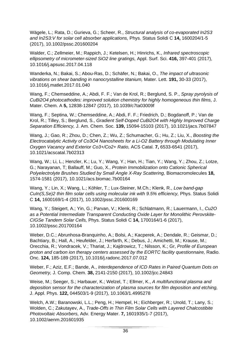Wägele, L.; Rata, D.; Gurieva, G.; Scheer, R., *Structural analysis of co-evaporated In2S3 and In2S3:V for solar cell absorber applications,* Phys. Status Solidi C **14,** 1600204/1-5 (2017), 10.1002/pssc.201600204

Walder, C.; Zellmeier, M.; Rappich, J.; Ketelsen, H.; Hinrichs, K., *Infrared spectroscopic ellipsometry of micrometer-sized SiO2 line gratings,* Appl. Surf. Sci. **416,** 397-401 (2017), 10.1016/j.apsusc.2017.04.118

Wanderka, N.; Bakai, S.; Abou-Ras, D.; Schäfer, N.; Bakai, O., *The impact of ultrasonic vibrations on shear banding in nanocrystalline titanium,* Mater. Lett. **191,** 30-33 (2017), 10.1016/j.matlet.2017.01.040

Wang, F.; Chemseddine, A.; Abdi, F. F.; Van de Krol, R.; Berglund, S. P., *Spray pyrolysis of CuBi2O4 photocathodes: improved solution chemistry for highly homogeneous thin films,* J. Mater. Chem. A **5,** 12838-12847 (2017), 10.1039/c7ta03009f

Wang, F.; Septina, W.; Chemseddine, A.; Abdi, F. F.; Friedrich, D.; Bogdanoff, P.; Van de Krol, R.; Tilley, S.; Berglund, S., *Gradient Self-Doped CuBi2O4 with Highly Improved Charge Separation Efficiency,* J. Am. Chem. Soc. **139,** 15094-15103 (2017), 10.1021/jacs.7b07847

Wang, J.; Gao, R.; Zhou, D.; Chen, Z.; Wu, Z.; Schumacher, G.; Hu, Z.; Liu, X., *Boosting the Electrocatalytic Activity of Co3O4 Nanosheets for a Li-O2 Battery through Modulating Inner Oxygen Vacancy and Exterior Co3+/Co2+ Ratio,* ACS Catal. **7,** 6533-6541 (2017), 10.1021/acscatal.7b02313

Wang, W.; Li, L.; Henzler, K.; Lu, Y.; Wang, Y.; Han, H.; Tian, Y.; Wang, Y.; Zhou, Z.; Lotze, G.; Narayanan, T; Ballauff, M.; Guo, X., *Protein Immobilization onto Cationic Spherical Polyelectrolyte Brushes Studied by Small Angle X-Ray Scattering, Biomacromolecules 18,* 1574-1581 (2017), 10.1021/acs.biomac.7b00164

Wang, Y.; Lin, X.; Wang, L.; Köhler, T.; Lux-Steiner, M.Ch.; Klenk, R., *Low band-gap CuIn(S,Se)2 thin film solar cells using molecular ink with 9.5% efficiency, Phys. Status Solidi* C **14,** 1600169/1-4 (2017), 10.1002/pssc.201600169

Wang, Y.; Steigert, A.; Yin, G.; Parvan, V.; Klenk, R.; Schlatmann, R.; Lauermann, I., *Cu2O as a Potential Intermediate Transparent Conducting Oxide Layer for Monolithic Perovskite-CIGSe Tandem Solar Cells,* Phys. Status Solidi C **14,** 1700164/1-6 (2017), 10.1002/pssc.201700164

Weber, D.C.; Abrunhosa-Branquinho, A.; Bolsi, A.; Kacperek, A.; Dendale, R.; Geismar, D.; Bachtiary, B.; Hall, A.; Heufelder, J.; Herfarth, K.; Debus, J.; Amichetti, M.; Krause, M.; Orecchia, R.; Vondracek, V.; Thariat, J.; Kajdrowicz, T.; Nilsson, K.; Gr, *Profile of European proton and carbon ion therapy centers assessed by the EORTC facility questionnaire,* Radio. Onc. **124,** 185-189 (2017), 10.1016/j.radonc.2017.07.012

Weber, F.; Aziz, E.F.; Bande, A., *Interdependence of ICD Rates in Paired Quantum Dots on Geometry,* J. Comp. Chem. **38,** 2141-2150 (2017), 10.1002/jcc.24843

Weise, M.; Seeger, S.; Harbauer, K.; Welzel, T.; Ellmer, K., *A multifunctional plasma and deposition sensor for the characterization of plasma sources for film deposition and etching,*  J. Appl. Phys. **122,** 044503/1-9 (2017), 10.1063/1.4995278

Welch, A.W.; Baranowski, L.L.; Peng, H.; Hempel, H.; Eichberger, R.; Unold, T.; Lany, S.; Wolden, C.; Zakutayev, A., *Trade-Offs in Thin Film Solar Cells with Layered Chalcostibite Photovoltaic Absorbers,* Adv. Energy Mater. **7,** 1601935/1-7 (2017), 10.1002/aenm.201601935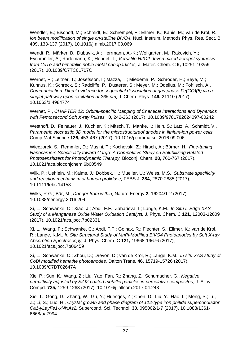Wendler, E.; Bischoff, M.; Schmidt, E.; Schrempel, F.; Ellmer, K.; Kanis, M.; van de Krol, R., *Ion beam modification of single crystalline BiVO4, Nucl. Instrum. Methods Phys. Res. Sect. B* **409,** 133-137 (2017), 10.1016/j.nimb.2017.03.069

Wendt, R.; Märker, B.; Dubavik, A.; Herrmann, A.-K.; Wollgarten, M.; Rakovich, Y.; Eychmüller, A.; Rademann, K.; Hendel, T., *Versatile H2O2-driven mixed aerogel synthesis from CdTe and bimetallic noble metal nanoparticles,* J. Mater. Chem. C **5,** 10251-10259 (2017), 10.1039/C7TC01707C

Wernet, P.; Leitner, T.; Josefsson, I.; Mazza, T.; Miedema, P.; Schröder, H.; Beye, M.; Kunnus, K.; Schreck, S.; Radcliffe, P.; Düsterer, S.; Meyer, M.; Odelius, M.; Föhlisch, A., *Communication: Direct evidence for sequential dissociation of gas-phase Fe(CO)(5) via a singlet pathway upon excitation at 266 nm,* J. Chem. Phys. **146,** 21110 (2017), 10.1063/1.4984774

Wernet, P., *CHAPTER 12: Orbital-specific Mapping of Chemical Interactions and Dynamics with Femtosecond Soft X-ray Pulses,* **0,** 242-263 (2017), 10.1039/9781782624097-00242

Westhoff, D.; Feinauer, J.; Kuchler, K.; Mitsch, T.; Manke, I.; Hein, S.; Latz, A.; Schmidt, V., *Parametric stochastic 3D model for the microstructureof anodes in lithium-ion power cells,*  Comp Mat Science **126,** 453-467 (2017), 10.1016/j.commatsci.2016.09.006

Wieczorek, S.; Remmler, D.; Masini, T.; Kochovski, Z.; Hirsch, A.; Börner, H., *Fine-tuning Nanocarriers Specifically toward Cargo: A Competitive Study on Solubilizing Related Photosensitizers for Photodynamic Therapy,* Bioconj. Chem. **28,** 760-767 (2017), 10.1021/acs.bioconjchem.6b00549

Wilk, P.; Uehlein, M.; Kalms, J.; Dobbek, H.; Mueller, U.; Weiss, M.S., *Substrate specificity and reaction mechanism of human prolidase,* FEBS J. **284,** 2870-2885 (2017), 10.1111/febs.14158

Wilks, R.G.; Bär, M., *Danger from within,* Nature Energy **2,** 16204/1-2 (2017), 10.1038/nenergy.2016.204

Xi, L.; Schwanke, C.; Xiao, J.; Abdi, F.F.; Zaharieva, I.; Lange, K.M., *In Situ L-Edge XAS Study of a Manganese Oxide Water Oxidation Catalyst,* J. Phys. Chem. C **121,** 12003-12009 (2017), 10.1021/acs.jpcc.7b02331

Xi, L.; Wang, F.; Schwanke, C.; Abdi, F.F.; Golnak, R.; Fiechter, S.; Ellmer, K.; van de Krol, R.; Lange, K.M., *In Situ Structural Study of MnPi-Modified BiVO4 Photoanodes by Soft X-ray Absorption Spectroscopy,* J. Phys. Chem. C **121,** 19668-19676 (2017), 10.1021/acs.jpcc.7b06459

Xi, L.; Schwanke, C.; Zhou, D.; Drevon, D.; van de Krol, R.; Lange, K.M., *In situ XAS study of CoBi modified hematite photoanodes,* Dalton Trans. **46,** 15719-15726 (2017), 10.1039/C7DT02647A

Xie, P.; Sun, K.; Wang, Z.; Liu, Yao; Fan, R.; Zhang, Z.; Schumacher, G., *Negative permittivity adjusted by SiO2-coated metallic particles in percolative composites,* J. Alloy. Compd. **725,** 1259-1263 (2017), 10.1016/j.jallcom.2017.04.248

Xie, T.; Gong, D.; Zhang, W.; Gu, Y.; Huesges, Z.; Chen, D.; Liu, Y.; Hao, L.; Meng, S.; Lu, Z.; Li, S.; Luo, H., *Crystal growth and phase diagram of 112-type iron pnitide superconductor Ca1-yLayFe1-xNixAs2,* Supercond. Sci. Technol. **30,** 095002/1-7 (2017), 10.1088/1361- 6668/aa7994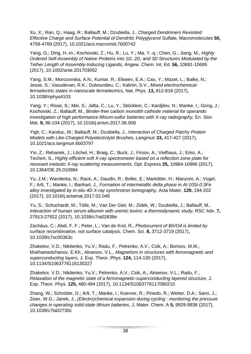Xu, X.; Ran, Q.; Haag, R.; Ballauff, M.; Dzubiella, J., *Charged Dendrimers Revisited: Effective Charge and Surface Potential of Dendritic Polyglycerol Sulfate,* Macromolecules **50,**  4759-4769 (2017), 10.1021/acs.macromol.7b00742

Yang, G.; Ding, H.-m.; Kochovski, Z.; Hu, R.; Lu, Y.; Ma, Y.-q.; Chen, G.; Jiang, M., *Highly Ordered Self-Assembly of Native Proteins into 1D, 2D, and 3D Structures Modulated by the Tether Length of Assembly-Inducing Ligands,* Angew. Chem. Int. Ed. **56,** 10691-10695 (2017), 10.1002/anie.201703052

Yang, S.M.; Morozovska, A.N.; Kumar, R.; Eliseev, E.A.; Cao, Y.; Mazet, L.; Balke, N.; Jesse, S.; Vasudevan, R.K.; Dubourdieu, C.; Kalinin, S.V., *Mixed electrochemicalferroelectric states in nanoscale ferroelectrics,* Nat. Phys. **13,** 812-818 (2017), 10.1038/nphys4103

Yang, Y.; Risse, S.; Mei, S.; Jafta, C.; Lu, Y.; Stöcklein, C.; Kardjilov, N.; Manke, I.; Gong, J.; Kochovski, Z.; Ballauff, M., *Binder-free carbon monolith cathode material for operando*  investigation of high performance lithium-sulfur batteries with X-ray radiography, En. Stor. Mat. **9,** 96-104 (2017), 10.1016/j.ensm.2017.06.008

Yigit, C.; Kanduc, M.; Ballauff, M.; Dzubiella, J., *Interaction of Charged Patchy Protein Models with Like-Charged Polyelectrolyte Brushes,* Langmuir **33,** 417-427 (2017), 10.1021/acs.langmuir.6b03797

Yin, Z.; Rehanek, J.; Löchel, H.; Braig, C.; Buck, J.; Firsov, A.; Viefhaus, J.; Erko, A.; Techert, S., *Highly efficient soft X-ray spectrometer based on a reflection zone plate for resonant inelastic X-ray scattering measurements,* Opt. Express **25,** 10984-10996 (2017), 10.1364/OE.25.010984

Yu, J.M.; Wanderka, N.; Rack, A.; Daudin, R.; Boller, E.; Markötter, H.; Manzoni, A.; Vogel, F.; Arlt, T.; Manke, I.; Banhart, J., *Formation of intermetallic delta phase in Al-10Si-0.3Fe alloy investigated by in-situ 4D X-ray synchrotron tomography,* Acta Mater. **129,** 194-202 (2017), 10.1016/j.actamat.2017.02.048

Yu, S.; Schuchardt, M.; Tölle, M.; Van Der Giet, M.; Zidek, W.; Dzubiella, J.; Ballauff, M., *Interaction of human serum albumin with uremic toxins: a thermodynamic study, RSC Adv. 7.* 27913-27922 (2017), 10.1039/c7ra02838e

Zachäus, C.; Abdi, F. F.; Peter, L.; Van de Krol, R., *Photocurrent of BiVO4 is limited by surface recombination, not surface catalysis,* Chem. Sci. **8,** 3712-3719 (2017), 10.1039/c7sc00363c

Zhaketov, V.D.; Nikitenko, Yu.V.; Radu, F.; Petrenko, A.V.; Csik, A.; Borisov, M.M.; Mukhamedzhanov, E.Kh.; Aksenov, V.L., *Magnetism in structures with ferromagnetic and superconducting layers,* J. Exp. Theor. Phys. **124,** 114-130 (2017), 10.1134/S1063776116130227

Zhaketov, V.D.; Nikitenko, Yu.V.; Petrenko, A.V.; Csik, A.; Aksenov, V.L.; Radu, F., *Relaxation of the magnetic state of a ferromagnetic-superconducting layered structure,* J. Exp. Theor. Phys. **125,** 480-494 (2017), 10.1134/S1063776117080210

Zhang, W.; Schröder, D.; Arlt, T.; Manke, I.; Koerver, R.; Pinedo, R.; Weber, D.A.; Sann, J.; Zeier, W.G.; Janek, J., *(Electro)chemical expansion during cycling : monitoring the pressure changes in operating solid-state lithium batteries,* J. Mater. Chem. A **5,** 9929-9936 (2017), 10.1039/c7ta02730c